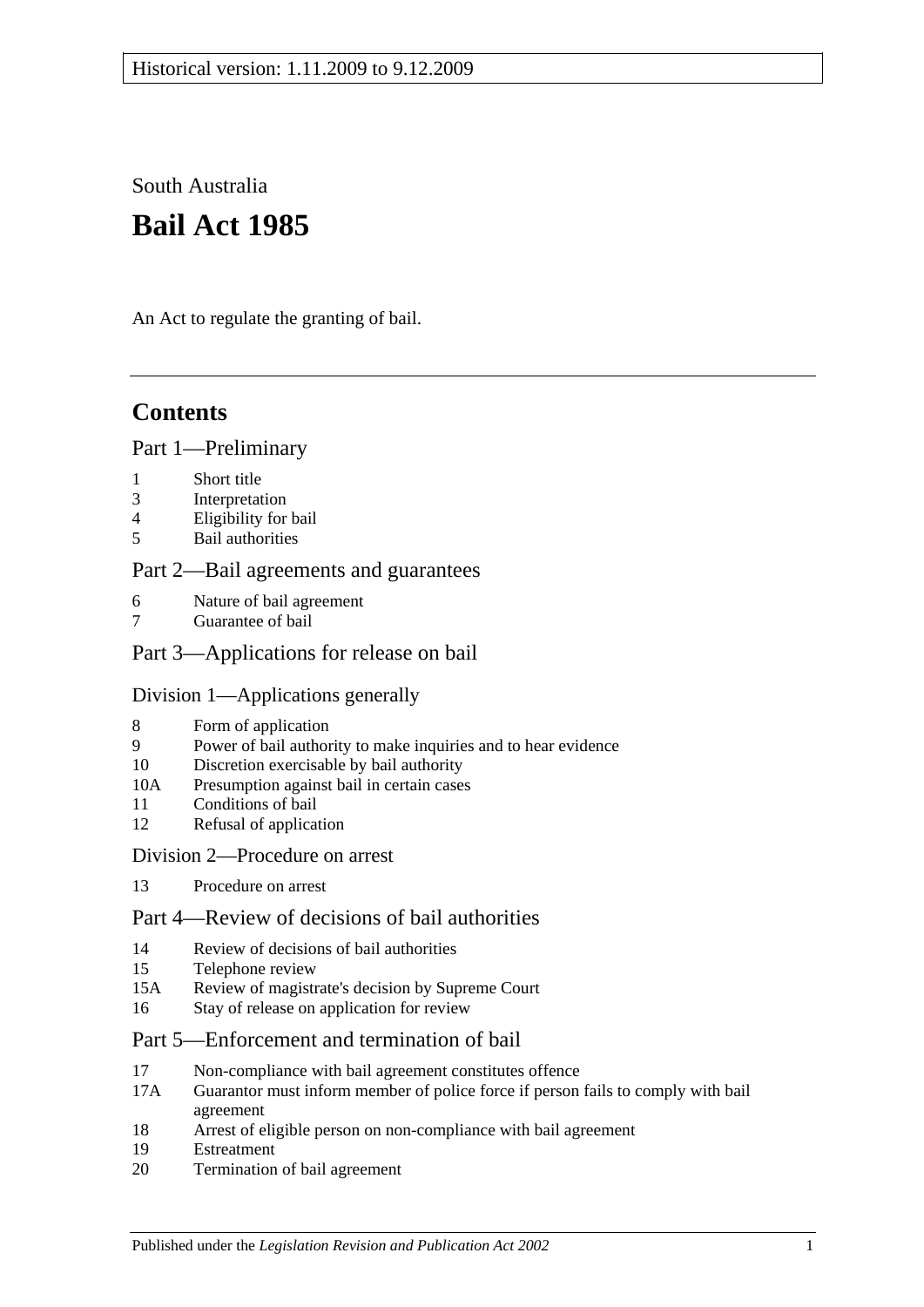South Australia

# **Bail Act 1985**

An Act to regulate the granting of bail.

## **Contents**

### [Part 1—Preliminary](#page-1-0)

- 1 [Short title](#page-1-1)
- 3 [Interpretation](#page-1-2)
- 4 [Eligibility for bail](#page-2-0)
- 5 [Bail authorities](#page-3-0)

### [Part 2—Bail agreements and guarantees](#page-3-1)

- 6 [Nature of bail agreement](#page-3-2)
- [Guarantee of bail](#page-5-0)

## [Part 3—Applications for release on bail](#page-5-1)

#### [Division 1—Applications generally](#page-5-2)

- 8 [Form of application](#page-5-3)
- 9 [Power of bail authority to make inquiries and to hear evidence](#page-6-0)
- 10 [Discretion exercisable by bail authority](#page-6-1)
- 10A [Presumption against bail in certain cases](#page-7-0)
- 11 [Conditions of bail](#page-8-0)
- 12 [Refusal of application](#page-10-0)

#### [Division 2—Procedure on arrest](#page-10-1)

13 [Procedure on arrest](#page-10-2)

## [Part 4—Review of decisions of bail authorities](#page-11-0)

- 14 [Review of decisions of bail authorities](#page-11-1)
- 15 [Telephone review](#page-12-0)
- 15A [Review of magistrate's decision by Supreme Court](#page-13-0)
- 16 [Stay of release on application for review](#page-13-1)

## [Part 5—Enforcement and termination of bail](#page-13-2)

- 17 [Non-compliance with bail agreement constitutes offence](#page-13-3)
- 17A [Guarantor must inform member of police force if person fails to comply with bail](#page-14-0)  [agreement](#page-14-0)
- 18 [Arrest of eligible person on non-compliance with bail agreement](#page-14-1)
- 19 [Estreatment](#page-14-2)
- 20 [Termination of bail agreement](#page-15-0)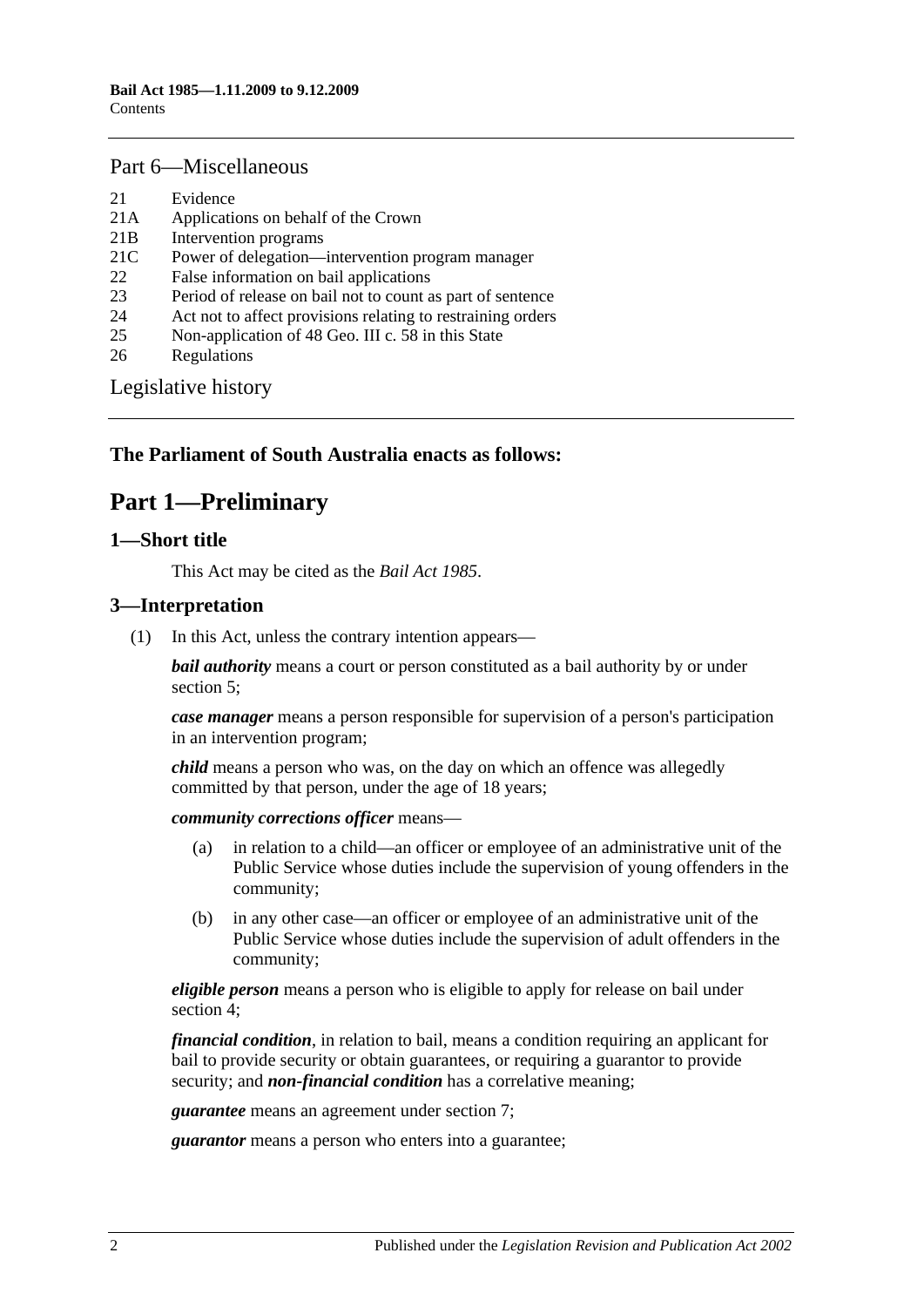### [Part 6—Miscellaneous](#page-15-1)

- 21 [Evidence](#page-15-2)
- 21A [Applications on behalf of the Crown](#page-15-3)
- 21B [Intervention programs](#page-15-4)
- 21C [Power of delegation—intervention program manager](#page-16-0)
- 22 [False information on bail applications](#page-17-0)
- 23 [Period of release on bail not to count as part of sentence](#page-17-1)
- 24 [Act not to affect provisions relating to restraining orders](#page-17-2)
- 25 [Non-application of 48 Geo. III c. 58 in this State](#page-17-3)
- 26 [Regulations](#page-17-4)

[Legislative history](#page-18-0)

## <span id="page-1-0"></span>**The Parliament of South Australia enacts as follows:**

## **Part 1—Preliminary**

#### <span id="page-1-1"></span>**1—Short title**

This Act may be cited as the *Bail Act 1985*.

### <span id="page-1-2"></span>**3—Interpretation**

(1) In this Act, unless the contrary intention appears—

*bail authority* means a court or person constituted as a bail authority by or under [section](#page-3-0) 5;

*case manager* means a person responsible for supervision of a person's participation in an intervention program;

*child* means a person who was, on the day on which an offence was allegedly committed by that person, under the age of 18 years;

*community corrections officer* means—

- (a) in relation to a child—an officer or employee of an administrative unit of the Public Service whose duties include the supervision of young offenders in the community;
- (b) in any other case—an officer or employee of an administrative unit of the Public Service whose duties include the supervision of adult offenders in the community;

*eligible person* means a person who is eligible to apply for release on bail under [section](#page-2-0) 4;

*financial condition*, in relation to bail, means a condition requiring an applicant for bail to provide security or obtain guarantees, or requiring a guarantor to provide security; and *non-financial condition* has a correlative meaning;

*guarantee* means an agreement under [section](#page-5-0) 7;

*guarantor* means a person who enters into a guarantee;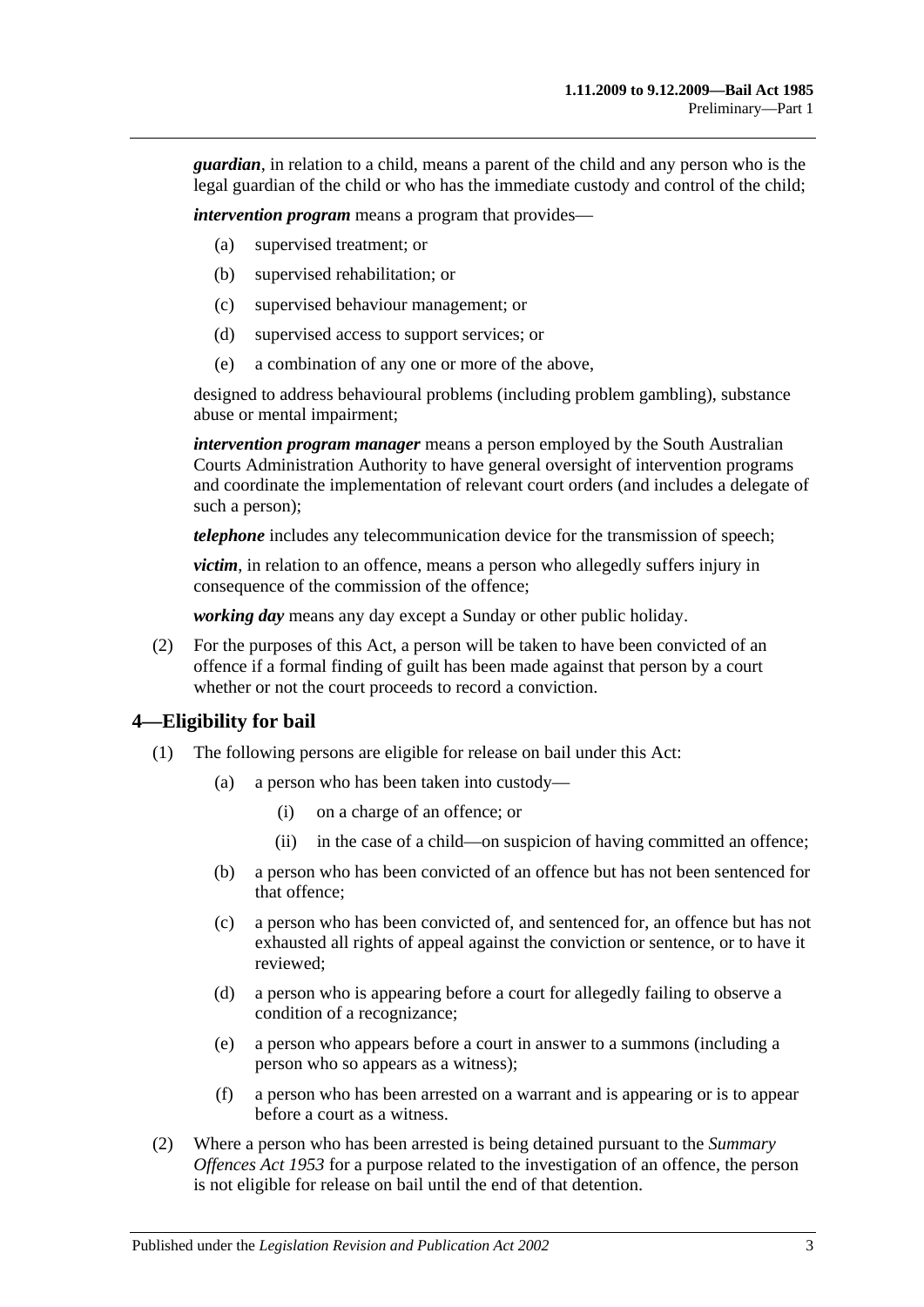*guardian*, in relation to a child, means a parent of the child and any person who is the legal guardian of the child or who has the immediate custody and control of the child;

*intervention program* means a program that provides—

- (a) supervised treatment; or
- (b) supervised rehabilitation; or
- (c) supervised behaviour management; or
- (d) supervised access to support services; or
- (e) a combination of any one or more of the above,

designed to address behavioural problems (including problem gambling), substance abuse or mental impairment;

*intervention program manager* means a person employed by the South Australian Courts Administration Authority to have general oversight of intervention programs and coordinate the implementation of relevant court orders (and includes a delegate of such a person);

*telephone* includes any telecommunication device for the transmission of speech;

*victim*, in relation to an offence, means a person who allegedly suffers injury in consequence of the commission of the offence;

*working day* means any day except a Sunday or other public holiday.

(2) For the purposes of this Act, a person will be taken to have been convicted of an offence if a formal finding of guilt has been made against that person by a court whether or not the court proceeds to record a conviction.

#### <span id="page-2-0"></span>**4—Eligibility for bail**

- (1) The following persons are eligible for release on bail under this Act:
	- (a) a person who has been taken into custody—
		- (i) on a charge of an offence; or
		- (ii) in the case of a child—on suspicion of having committed an offence;
	- (b) a person who has been convicted of an offence but has not been sentenced for that offence;
	- (c) a person who has been convicted of, and sentenced for, an offence but has not exhausted all rights of appeal against the conviction or sentence, or to have it reviewed;
	- (d) a person who is appearing before a court for allegedly failing to observe a condition of a recognizance;
	- (e) a person who appears before a court in answer to a summons (including a person who so appears as a witness);
	- (f) a person who has been arrested on a warrant and is appearing or is to appear before a court as a witness.
- (2) Where a person who has been arrested is being detained pursuant to the *[Summary](http://www.legislation.sa.gov.au/index.aspx?action=legref&type=act&legtitle=Summary%20Offences%20Act%201953)  [Offences Act](http://www.legislation.sa.gov.au/index.aspx?action=legref&type=act&legtitle=Summary%20Offences%20Act%201953) 1953* for a purpose related to the investigation of an offence, the person is not eligible for release on bail until the end of that detention.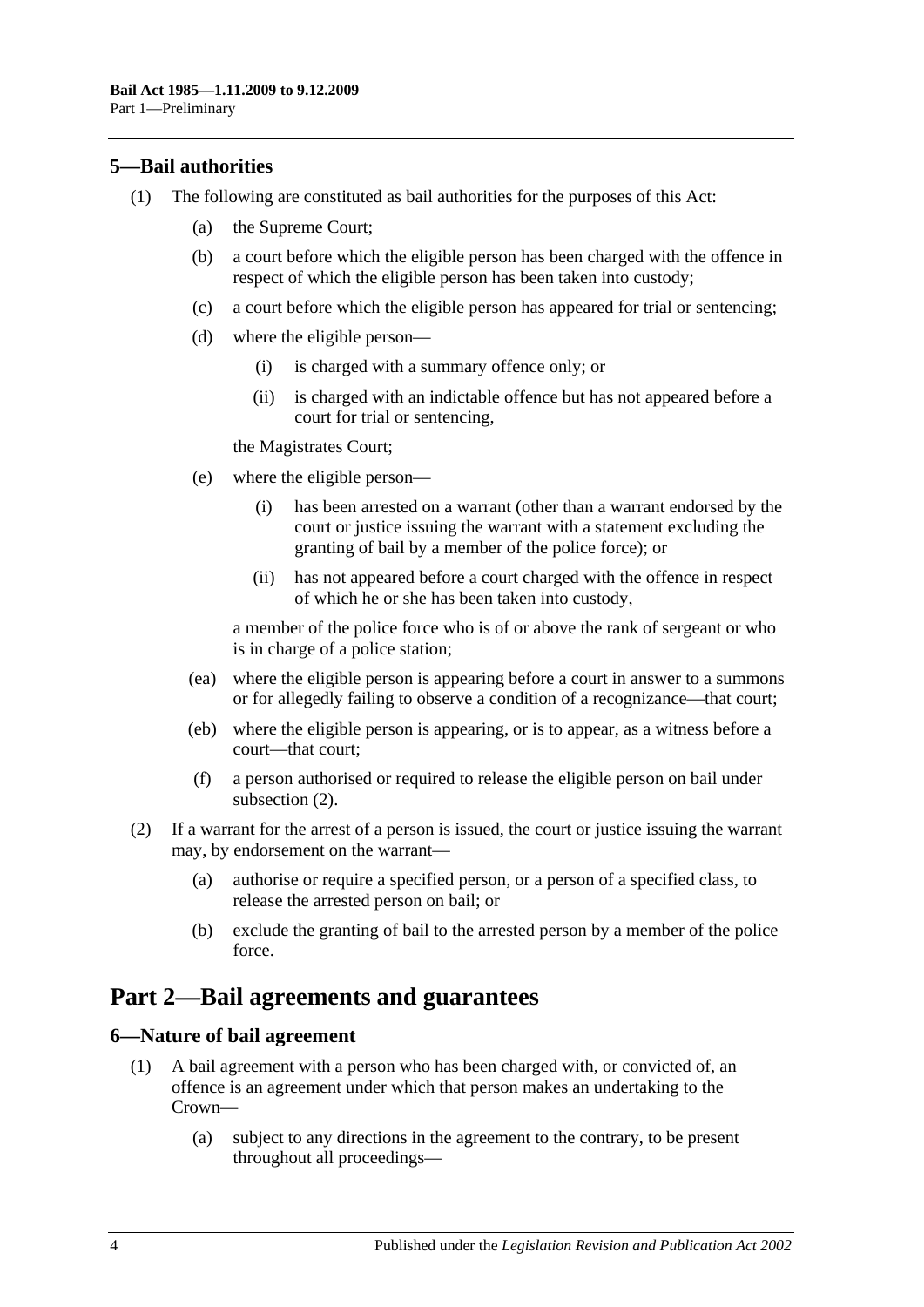## <span id="page-3-0"></span>**5—Bail authorities**

- (1) The following are constituted as bail authorities for the purposes of this Act:
	- (a) the Supreme Court;
	- (b) a court before which the eligible person has been charged with the offence in respect of which the eligible person has been taken into custody;
	- (c) a court before which the eligible person has appeared for trial or sentencing;
	- (d) where the eligible person—
		- (i) is charged with a summary offence only; or
		- (ii) is charged with an indictable offence but has not appeared before a court for trial or sentencing,

the Magistrates Court;

- (e) where the eligible person—
	- (i) has been arrested on a warrant (other than a warrant endorsed by the court or justice issuing the warrant with a statement excluding the granting of bail by a member of the police force); or
	- (ii) has not appeared before a court charged with the offence in respect of which he or she has been taken into custody,

a member of the police force who is of or above the rank of sergeant or who is in charge of a police station;

- (ea) where the eligible person is appearing before a court in answer to a summons or for allegedly failing to observe a condition of a recognizance—that court;
- (eb) where the eligible person is appearing, or is to appear, as a witness before a court—that court;
- (f) a person authorised or required to release the eligible person on bail under [subsection](#page-3-3) (2).
- <span id="page-3-3"></span>(2) If a warrant for the arrest of a person is issued, the court or justice issuing the warrant may, by endorsement on the warrant—
	- (a) authorise or require a specified person, or a person of a specified class, to release the arrested person on bail; or
	- (b) exclude the granting of bail to the arrested person by a member of the police force.

## <span id="page-3-1"></span>**Part 2—Bail agreements and guarantees**

### <span id="page-3-4"></span><span id="page-3-2"></span>**6—Nature of bail agreement**

- (1) A bail agreement with a person who has been charged with, or convicted of, an offence is an agreement under which that person makes an undertaking to the Crown—
	- (a) subject to any directions in the agreement to the contrary, to be present throughout all proceedings—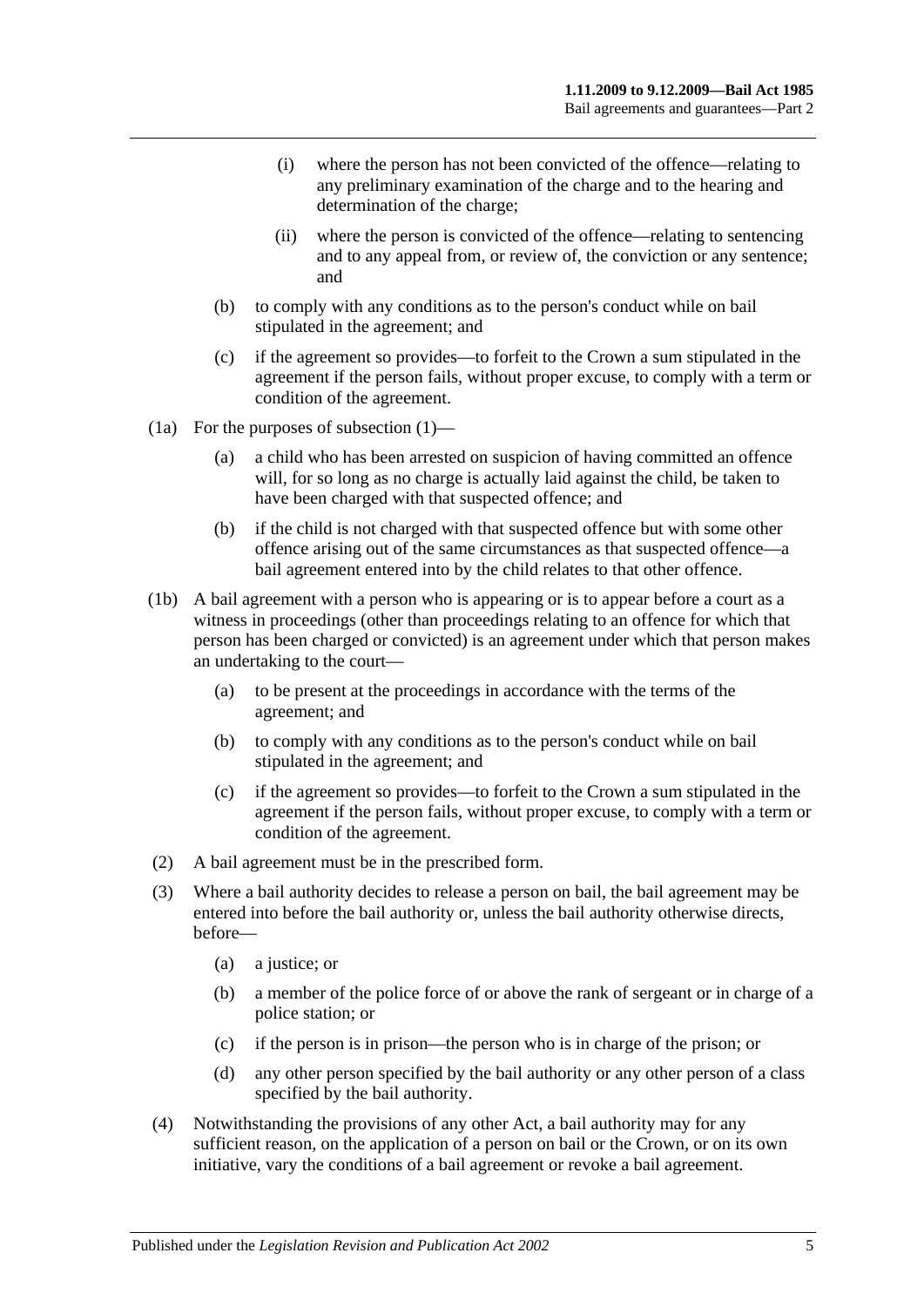- (i) where the person has not been convicted of the offence—relating to any preliminary examination of the charge and to the hearing and determination of the charge;
- (ii) where the person is convicted of the offence—relating to sentencing and to any appeal from, or review of, the conviction or any sentence; and
- (b) to comply with any conditions as to the person's conduct while on bail stipulated in the agreement; and
- (c) if the agreement so provides—to forfeit to the Crown a sum stipulated in the agreement if the person fails, without proper excuse, to comply with a term or condition of the agreement.
- (1a) For the purposes of [subsection](#page-3-4) (1)—
	- (a) a child who has been arrested on suspicion of having committed an offence will, for so long as no charge is actually laid against the child, be taken to have been charged with that suspected offence; and
	- (b) if the child is not charged with that suspected offence but with some other offence arising out of the same circumstances as that suspected offence—a bail agreement entered into by the child relates to that other offence.
- (1b) A bail agreement with a person who is appearing or is to appear before a court as a witness in proceedings (other than proceedings relating to an offence for which that person has been charged or convicted) is an agreement under which that person makes an undertaking to the court—
	- (a) to be present at the proceedings in accordance with the terms of the agreement; and
	- (b) to comply with any conditions as to the person's conduct while on bail stipulated in the agreement; and
	- (c) if the agreement so provides—to forfeit to the Crown a sum stipulated in the agreement if the person fails, without proper excuse, to comply with a term or condition of the agreement.
- (2) A bail agreement must be in the prescribed form.
- (3) Where a bail authority decides to release a person on bail, the bail agreement may be entered into before the bail authority or, unless the bail authority otherwise directs, before—
	- (a) a justice; or
	- (b) a member of the police force of or above the rank of sergeant or in charge of a police station; or
	- (c) if the person is in prison—the person who is in charge of the prison; or
	- (d) any other person specified by the bail authority or any other person of a class specified by the bail authority.
- (4) Notwithstanding the provisions of any other Act, a bail authority may for any sufficient reason, on the application of a person on bail or the Crown, or on its own initiative, vary the conditions of a bail agreement or revoke a bail agreement.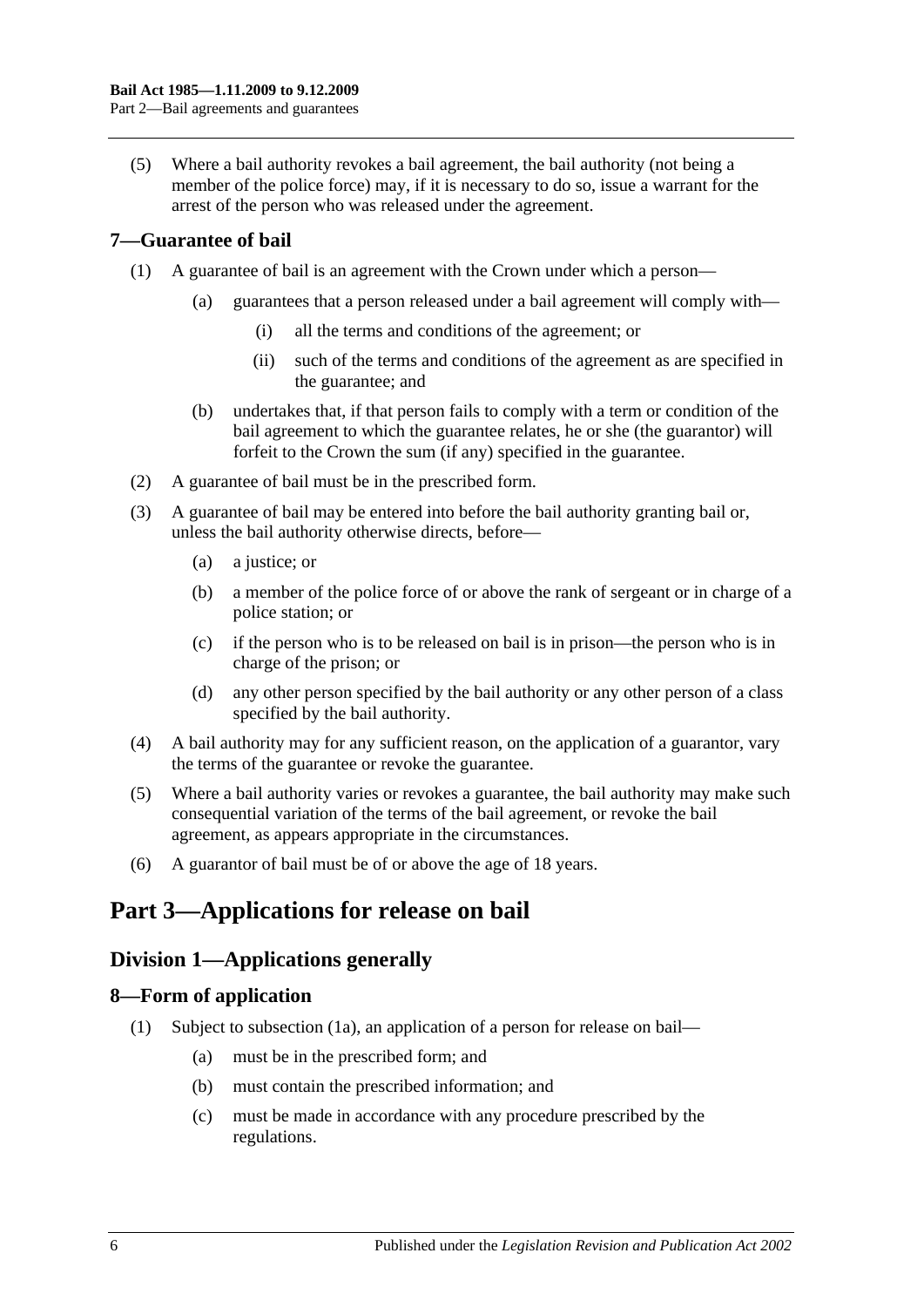(5) Where a bail authority revokes a bail agreement, the bail authority (not being a member of the police force) may, if it is necessary to do so, issue a warrant for the arrest of the person who was released under the agreement.

## <span id="page-5-0"></span>**7—Guarantee of bail**

- (1) A guarantee of bail is an agreement with the Crown under which a person—
	- (a) guarantees that a person released under a bail agreement will comply with—
		- (i) all the terms and conditions of the agreement; or
		- (ii) such of the terms and conditions of the agreement as are specified in the guarantee; and
	- (b) undertakes that, if that person fails to comply with a term or condition of the bail agreement to which the guarantee relates, he or she (the guarantor) will forfeit to the Crown the sum (if any) specified in the guarantee.
- (2) A guarantee of bail must be in the prescribed form.
- (3) A guarantee of bail may be entered into before the bail authority granting bail or, unless the bail authority otherwise directs, before—
	- (a) a justice; or
	- (b) a member of the police force of or above the rank of sergeant or in charge of a police station; or
	- (c) if the person who is to be released on bail is in prison—the person who is in charge of the prison; or
	- (d) any other person specified by the bail authority or any other person of a class specified by the bail authority.
- (4) A bail authority may for any sufficient reason, on the application of a guarantor, vary the terms of the guarantee or revoke the guarantee.
- (5) Where a bail authority varies or revokes a guarantee, the bail authority may make such consequential variation of the terms of the bail agreement, or revoke the bail agreement, as appears appropriate in the circumstances.
- (6) A guarantor of bail must be of or above the age of 18 years.

## <span id="page-5-2"></span><span id="page-5-1"></span>**Part 3—Applications for release on bail**

## **Division 1—Applications generally**

## <span id="page-5-4"></span><span id="page-5-3"></span>**8—Form of application**

- (1) Subject to [subsection](#page-6-2) (1a), an application of a person for release on bail—
	- (a) must be in the prescribed form; and
	- (b) must contain the prescribed information; and
	- (c) must be made in accordance with any procedure prescribed by the regulations.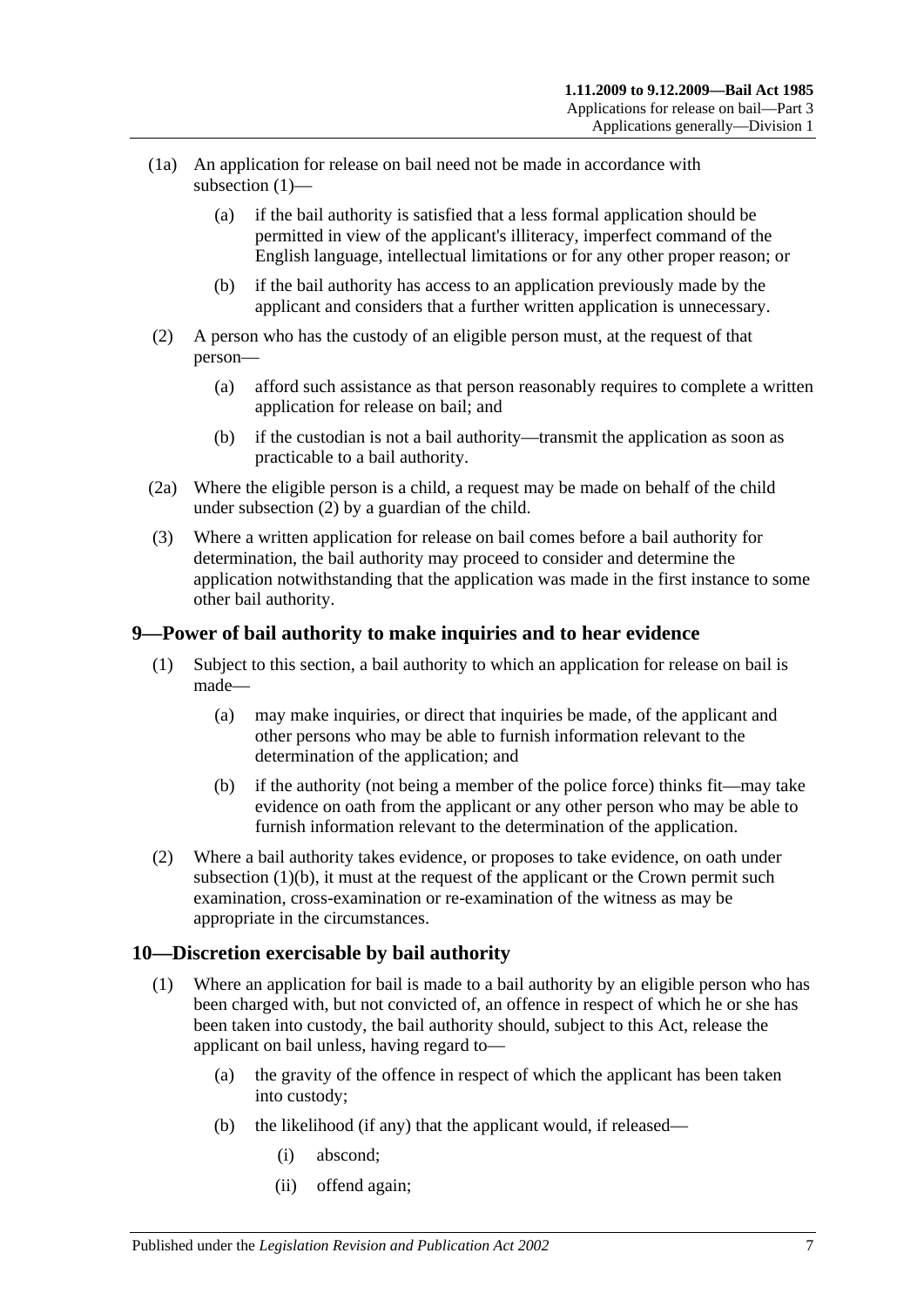- <span id="page-6-2"></span>(1a) An application for release on bail need not be made in accordance with [subsection](#page-5-4) (1)—
	- (a) if the bail authority is satisfied that a less formal application should be permitted in view of the applicant's illiteracy, imperfect command of the English language, intellectual limitations or for any other proper reason; or
	- (b) if the bail authority has access to an application previously made by the applicant and considers that a further written application is unnecessary.
- <span id="page-6-3"></span>(2) A person who has the custody of an eligible person must, at the request of that person—
	- (a) afford such assistance as that person reasonably requires to complete a written application for release on bail; and
	- (b) if the custodian is not a bail authority—transmit the application as soon as practicable to a bail authority.
- (2a) Where the eligible person is a child, a request may be made on behalf of the child under [subsection](#page-6-3) (2) by a guardian of the child.
- (3) Where a written application for release on bail comes before a bail authority for determination, the bail authority may proceed to consider and determine the application notwithstanding that the application was made in the first instance to some other bail authority.

## <span id="page-6-0"></span>**9—Power of bail authority to make inquiries and to hear evidence**

- (1) Subject to this section, a bail authority to which an application for release on bail is made—
	- (a) may make inquiries, or direct that inquiries be made, of the applicant and other persons who may be able to furnish information relevant to the determination of the application; and
	- (b) if the authority (not being a member of the police force) thinks fit—may take evidence on oath from the applicant or any other person who may be able to furnish information relevant to the determination of the application.
- <span id="page-6-4"></span>(2) Where a bail authority takes evidence, or proposes to take evidence, on oath under [subsection](#page-6-4)  $(1)(b)$ , it must at the request of the applicant or the Crown permit such examination, cross-examination or re-examination of the witness as may be appropriate in the circumstances.

## <span id="page-6-1"></span>**10—Discretion exercisable by bail authority**

- (1) Where an application for bail is made to a bail authority by an eligible person who has been charged with, but not convicted of, an offence in respect of which he or she has been taken into custody, the bail authority should, subject to this Act, release the applicant on bail unless, having regard to—
	- (a) the gravity of the offence in respect of which the applicant has been taken into custody;
	- (b) the likelihood (if any) that the applicant would, if released—
		- (i) abscond;
		- (ii) offend again;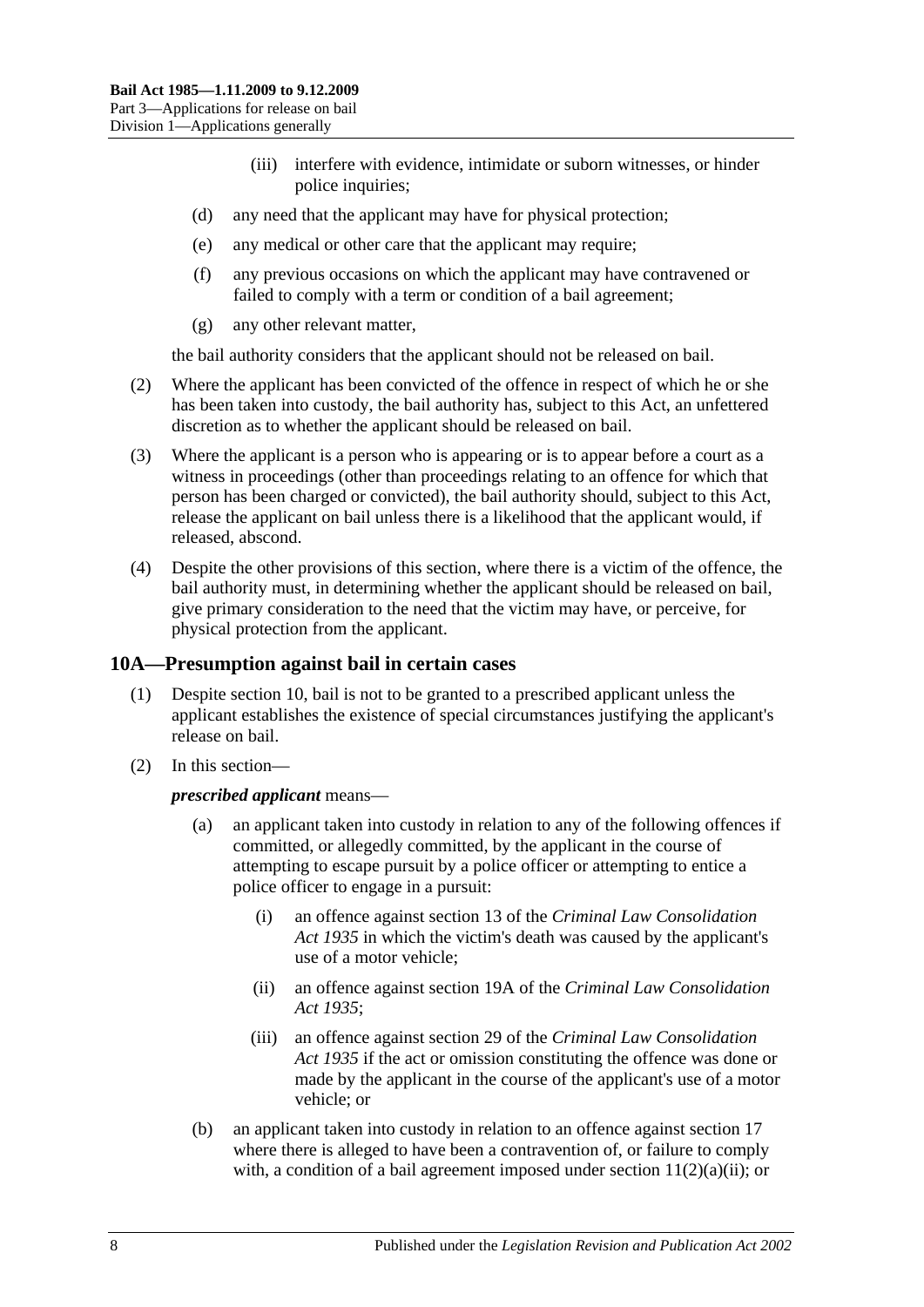- (iii) interfere with evidence, intimidate or suborn witnesses, or hinder police inquiries;
- (d) any need that the applicant may have for physical protection;
- (e) any medical or other care that the applicant may require;
- (f) any previous occasions on which the applicant may have contravened or failed to comply with a term or condition of a bail agreement;
- (g) any other relevant matter,

the bail authority considers that the applicant should not be released on bail.

- (2) Where the applicant has been convicted of the offence in respect of which he or she has been taken into custody, the bail authority has, subject to this Act, an unfettered discretion as to whether the applicant should be released on bail.
- (3) Where the applicant is a person who is appearing or is to appear before a court as a witness in proceedings (other than proceedings relating to an offence for which that person has been charged or convicted), the bail authority should, subject to this Act, release the applicant on bail unless there is a likelihood that the applicant would, if released, abscond.
- (4) Despite the other provisions of this section, where there is a victim of the offence, the bail authority must, in determining whether the applicant should be released on bail, give primary consideration to the need that the victim may have, or perceive, for physical protection from the applicant.

## <span id="page-7-0"></span>**10A—Presumption against bail in certain cases**

- (1) Despite [section](#page-6-1) 10, bail is not to be granted to a prescribed applicant unless the applicant establishes the existence of special circumstances justifying the applicant's release on bail.
- (2) In this section—

#### *prescribed applicant* means—

- (a) an applicant taken into custody in relation to any of the following offences if committed, or allegedly committed, by the applicant in the course of attempting to escape pursuit by a police officer or attempting to entice a police officer to engage in a pursuit:
	- (i) an offence against section 13 of the *[Criminal Law Consolidation](http://www.legislation.sa.gov.au/index.aspx?action=legref&type=act&legtitle=Criminal%20Law%20Consolidation%20Act%201935)  Act [1935](http://www.legislation.sa.gov.au/index.aspx?action=legref&type=act&legtitle=Criminal%20Law%20Consolidation%20Act%201935)* in which the victim's death was caused by the applicant's use of a motor vehicle;
	- (ii) an offence against section 19A of the *[Criminal Law Consolidation](http://www.legislation.sa.gov.au/index.aspx?action=legref&type=act&legtitle=Criminal%20Law%20Consolidation%20Act%201935)  Act [1935](http://www.legislation.sa.gov.au/index.aspx?action=legref&type=act&legtitle=Criminal%20Law%20Consolidation%20Act%201935)*;
	- (iii) an offence against section 29 of the *[Criminal Law Consolidation](http://www.legislation.sa.gov.au/index.aspx?action=legref&type=act&legtitle=Criminal%20Law%20Consolidation%20Act%201935)  Act [1935](http://www.legislation.sa.gov.au/index.aspx?action=legref&type=act&legtitle=Criminal%20Law%20Consolidation%20Act%201935)* if the act or omission constituting the offence was done or made by the applicant in the course of the applicant's use of a motor vehicle; or
- (b) an applicant taken into custody in relation to an offence against [section](#page-13-3) 17 where there is alleged to have been a contravention of, or failure to comply with, a condition of a bail agreement imposed under section  $11(2)(a)(ii)$ ; or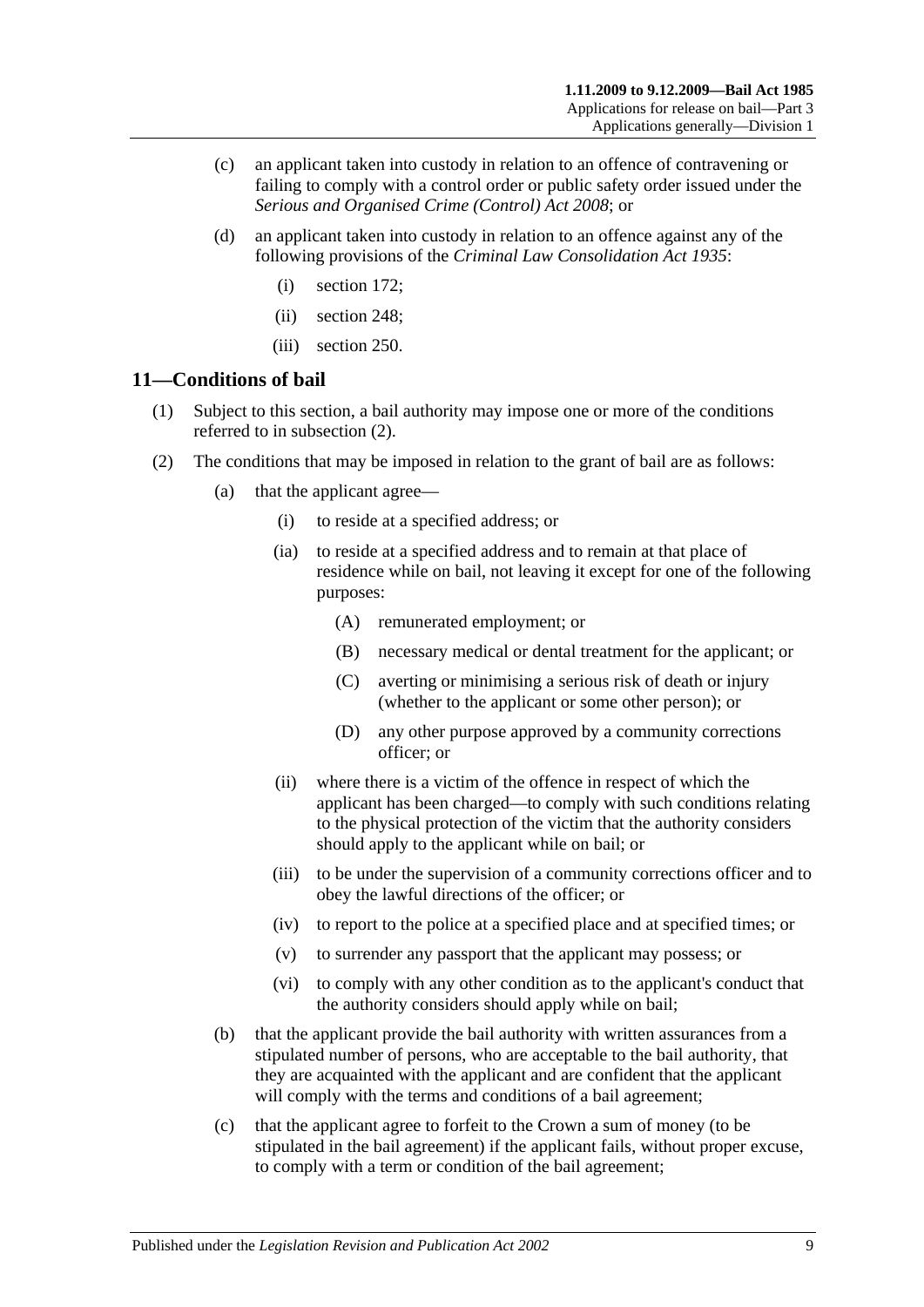- (c) an applicant taken into custody in relation to an offence of contravening or failing to comply with a control order or public safety order issued under the *[Serious and Organised Crime \(Control\) Act](http://www.legislation.sa.gov.au/index.aspx?action=legref&type=act&legtitle=Serious%20and%20Organised%20Crime%20(Control)%20Act%202008) 2008*; or
- (d) an applicant taken into custody in relation to an offence against any of the following provisions of the *[Criminal Law Consolidation Act](http://www.legislation.sa.gov.au/index.aspx?action=legref&type=act&legtitle=Criminal%20Law%20Consolidation%20Act%201935) 1935*:
	- (i) section 172;
	- (ii) section 248;
	- (iii) section 250.

#### <span id="page-8-0"></span>**11—Conditions of bail**

- (1) Subject to this section, a bail authority may impose one or more of the conditions referred to in [subsection](#page-8-2) (2).
- <span id="page-8-5"></span><span id="page-8-4"></span><span id="page-8-3"></span><span id="page-8-2"></span><span id="page-8-1"></span>(2) The conditions that may be imposed in relation to the grant of bail are as follows:
	- (a) that the applicant agree—
		- (i) to reside at a specified address; or
		- (ia) to reside at a specified address and to remain at that place of residence while on bail, not leaving it except for one of the following purposes:
			- (A) remunerated employment; or
			- (B) necessary medical or dental treatment for the applicant; or
			- (C) averting or minimising a serious risk of death or injury (whether to the applicant or some other person); or
			- (D) any other purpose approved by a community corrections officer; or
		- (ii) where there is a victim of the offence in respect of which the applicant has been charged—to comply with such conditions relating to the physical protection of the victim that the authority considers should apply to the applicant while on bail; or
		- (iii) to be under the supervision of a community corrections officer and to obey the lawful directions of the officer; or
		- (iv) to report to the police at a specified place and at specified times; or
		- (v) to surrender any passport that the applicant may possess; or
		- (vi) to comply with any other condition as to the applicant's conduct that the authority considers should apply while on bail;
	- (b) that the applicant provide the bail authority with written assurances from a stipulated number of persons, who are acceptable to the bail authority, that they are acquainted with the applicant and are confident that the applicant will comply with the terms and conditions of a bail agreement;
	- (c) that the applicant agree to forfeit to the Crown a sum of money (to be stipulated in the bail agreement) if the applicant fails, without proper excuse, to comply with a term or condition of the bail agreement;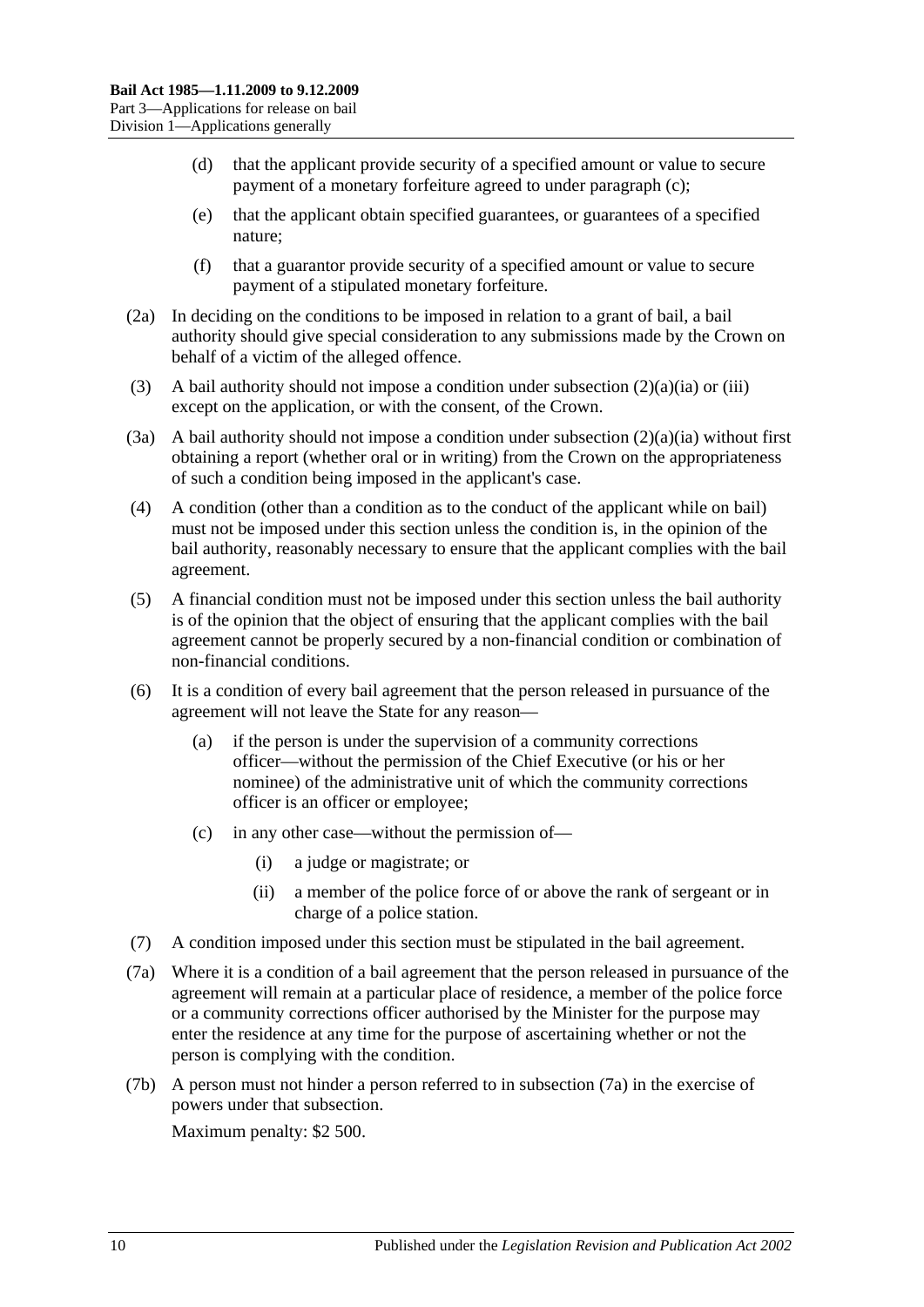- (d) that the applicant provide security of a specified amount or value to secure payment of a monetary forfeiture agreed to under [paragraph](#page-8-3) (c);
- (e) that the applicant obtain specified guarantees, or guarantees of a specified nature;
- (f) that a guarantor provide security of a specified amount or value to secure payment of a stipulated monetary forfeiture.
- (2a) In deciding on the conditions to be imposed in relation to a grant of bail, a bail authority should give special consideration to any submissions made by the Crown on behalf of a victim of the alleged offence.
- (3) A bail authority should not impose a condition under [subsection](#page-8-4)  $(2)(a)(ia)$  or [\(iii\)](#page-8-5) except on the application, or with the consent, of the Crown.
- (3a) A bail authority should not impose a condition under [subsection](#page-8-4)  $(2)(a)(ia)$  without first obtaining a report (whether oral or in writing) from the Crown on the appropriateness of such a condition being imposed in the applicant's case.
- (4) A condition (other than a condition as to the conduct of the applicant while on bail) must not be imposed under this section unless the condition is, in the opinion of the bail authority, reasonably necessary to ensure that the applicant complies with the bail agreement.
- (5) A financial condition must not be imposed under this section unless the bail authority is of the opinion that the object of ensuring that the applicant complies with the bail agreement cannot be properly secured by a non-financial condition or combination of non-financial conditions.
- (6) It is a condition of every bail agreement that the person released in pursuance of the agreement will not leave the State for any reason—
	- (a) if the person is under the supervision of a community corrections officer—without the permission of the Chief Executive (or his or her nominee) of the administrative unit of which the community corrections officer is an officer or employee;
	- (c) in any other case—without the permission of—
		- (i) a judge or magistrate; or
		- (ii) a member of the police force of or above the rank of sergeant or in charge of a police station.
- (7) A condition imposed under this section must be stipulated in the bail agreement.
- <span id="page-9-0"></span>(7a) Where it is a condition of a bail agreement that the person released in pursuance of the agreement will remain at a particular place of residence, a member of the police force or a community corrections officer authorised by the Minister for the purpose may enter the residence at any time for the purpose of ascertaining whether or not the person is complying with the condition.
- (7b) A person must not hinder a person referred to in [subsection](#page-9-0) (7a) in the exercise of powers under that subsection.

Maximum penalty: \$2 500.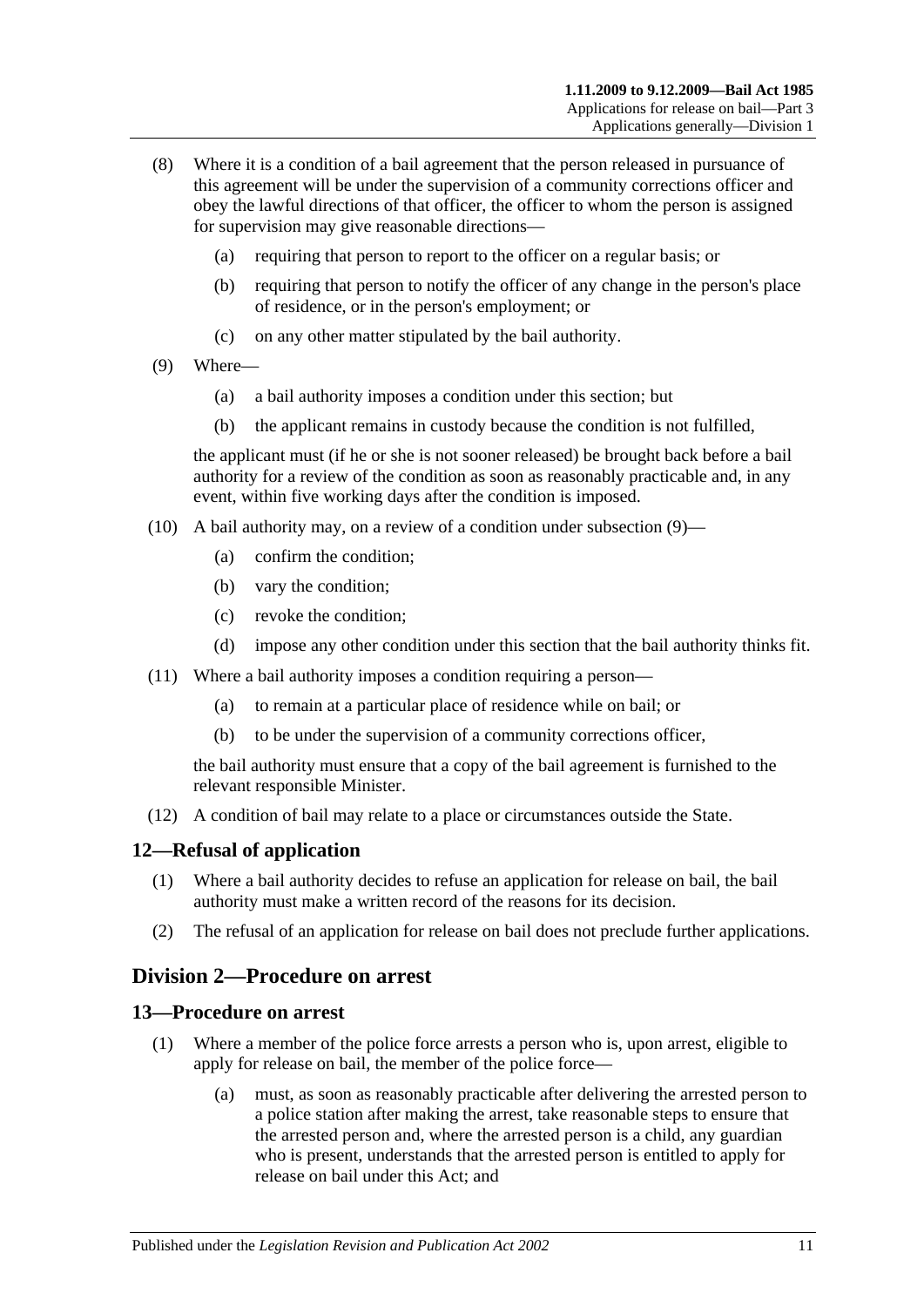- (8) Where it is a condition of a bail agreement that the person released in pursuance of this agreement will be under the supervision of a community corrections officer and obey the lawful directions of that officer, the officer to whom the person is assigned for supervision may give reasonable directions—
	- (a) requiring that person to report to the officer on a regular basis; or
	- (b) requiring that person to notify the officer of any change in the person's place of residence, or in the person's employment; or
	- (c) on any other matter stipulated by the bail authority.
- <span id="page-10-3"></span>(9) Where—
	- (a) a bail authority imposes a condition under this section; but
	- (b) the applicant remains in custody because the condition is not fulfilled,

the applicant must (if he or she is not sooner released) be brought back before a bail authority for a review of the condition as soon as reasonably practicable and, in any event, within five working days after the condition is imposed.

- (10) A bail authority may, on a review of a condition under [subsection](#page-10-3) (9)—
	- (a) confirm the condition;
	- (b) vary the condition;
	- (c) revoke the condition;
	- (d) impose any other condition under this section that the bail authority thinks fit.
- (11) Where a bail authority imposes a condition requiring a person—
	- (a) to remain at a particular place of residence while on bail; or
	- (b) to be under the supervision of a community corrections officer,

the bail authority must ensure that a copy of the bail agreement is furnished to the relevant responsible Minister.

(12) A condition of bail may relate to a place or circumstances outside the State.

#### <span id="page-10-0"></span>**12—Refusal of application**

- (1) Where a bail authority decides to refuse an application for release on bail, the bail authority must make a written record of the reasons for its decision.
- (2) The refusal of an application for release on bail does not preclude further applications.

## <span id="page-10-1"></span>**Division 2—Procedure on arrest**

#### <span id="page-10-2"></span>**13—Procedure on arrest**

- (1) Where a member of the police force arrests a person who is, upon arrest, eligible to apply for release on bail, the member of the police force—
	- (a) must, as soon as reasonably practicable after delivering the arrested person to a police station after making the arrest, take reasonable steps to ensure that the arrested person and, where the arrested person is a child, any guardian who is present, understands that the arrested person is entitled to apply for release on bail under this Act; and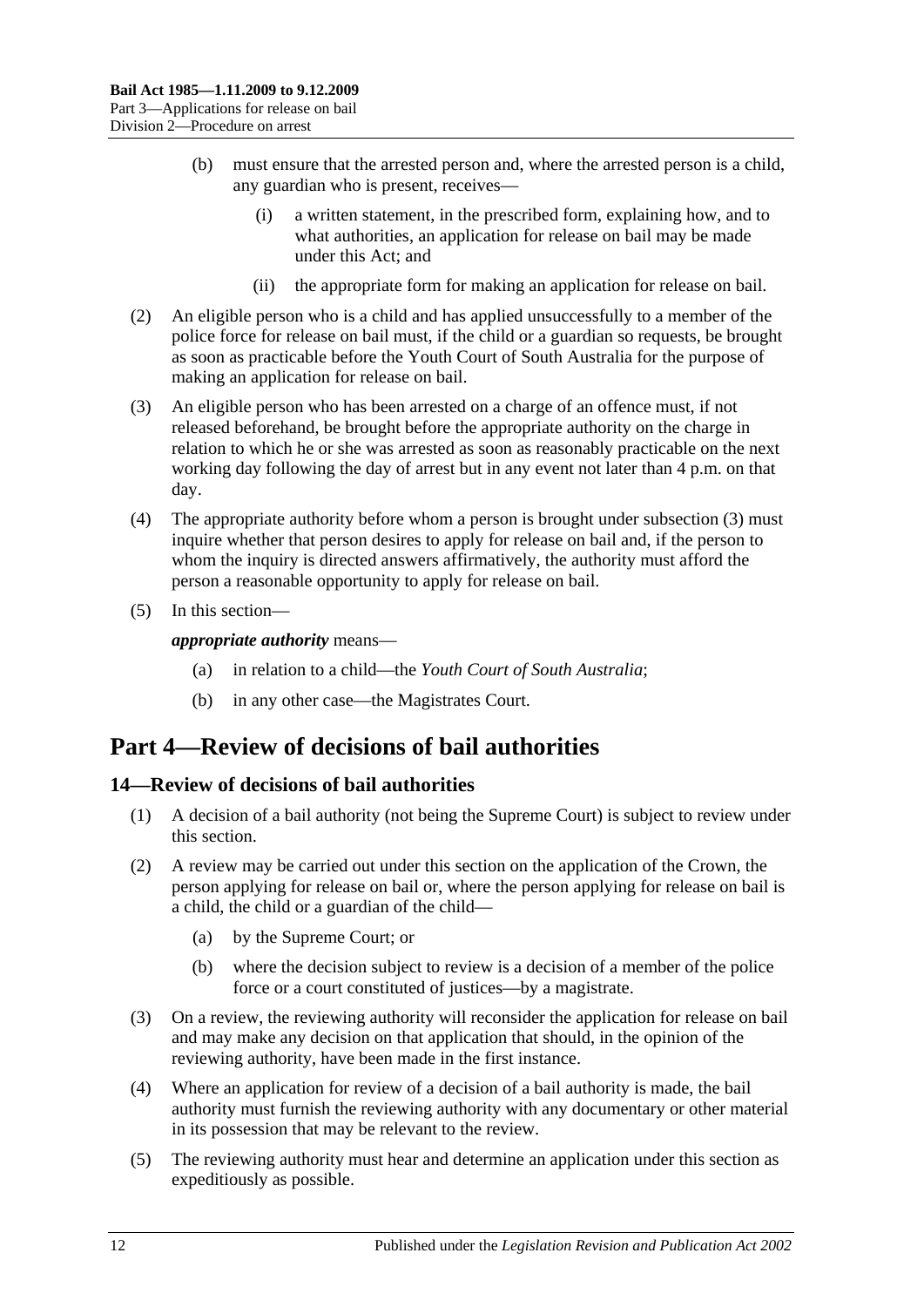- (b) must ensure that the arrested person and, where the arrested person is a child, any guardian who is present, receives—
	- (i) a written statement, in the prescribed form, explaining how, and to what authorities, an application for release on bail may be made under this Act; and
	- (ii) the appropriate form for making an application for release on bail.
- (2) An eligible person who is a child and has applied unsuccessfully to a member of the police force for release on bail must, if the child or a guardian so requests, be brought as soon as practicable before the Youth Court of South Australia for the purpose of making an application for release on bail.
- <span id="page-11-2"></span>(3) An eligible person who has been arrested on a charge of an offence must, if not released beforehand, be brought before the appropriate authority on the charge in relation to which he or she was arrested as soon as reasonably practicable on the next working day following the day of arrest but in any event not later than 4 p.m. on that day.
- (4) The appropriate authority before whom a person is brought under [subsection](#page-11-2) (3) must inquire whether that person desires to apply for release on bail and, if the person to whom the inquiry is directed answers affirmatively, the authority must afford the person a reasonable opportunity to apply for release on bail.
- (5) In this section—

*appropriate authority* means—

- (a) in relation to a child—the *Youth Court of South Australia*;
- (b) in any other case—the Magistrates Court.

## <span id="page-11-0"></span>**Part 4—Review of decisions of bail authorities**

## <span id="page-11-1"></span>**14—Review of decisions of bail authorities**

- (1) A decision of a bail authority (not being the Supreme Court) is subject to review under this section.
- (2) A review may be carried out under this section on the application of the Crown, the person applying for release on bail or, where the person applying for release on bail is a child, the child or a guardian of the child—
	- (a) by the Supreme Court; or
	- (b) where the decision subject to review is a decision of a member of the police force or a court constituted of justices—by a magistrate.
- (3) On a review, the reviewing authority will reconsider the application for release on bail and may make any decision on that application that should, in the opinion of the reviewing authority, have been made in the first instance.
- (4) Where an application for review of a decision of a bail authority is made, the bail authority must furnish the reviewing authority with any documentary or other material in its possession that may be relevant to the review.
- (5) The reviewing authority must hear and determine an application under this section as expeditiously as possible.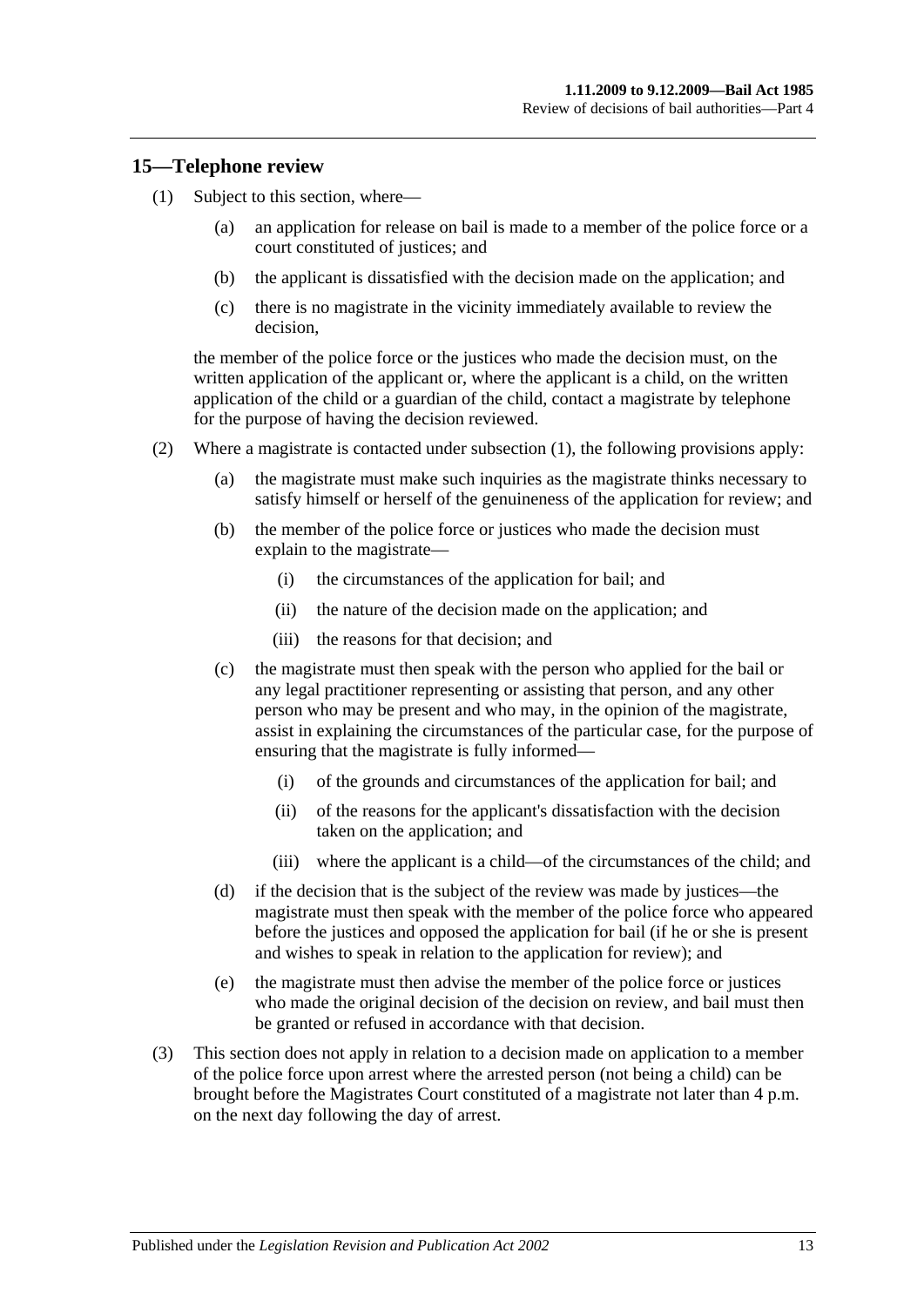#### <span id="page-12-1"></span><span id="page-12-0"></span>**15—Telephone review**

- (1) Subject to this section, where—
	- (a) an application for release on bail is made to a member of the police force or a court constituted of justices; and
	- (b) the applicant is dissatisfied with the decision made on the application; and
	- (c) there is no magistrate in the vicinity immediately available to review the decision,

the member of the police force or the justices who made the decision must, on the written application of the applicant or, where the applicant is a child, on the written application of the child or a guardian of the child, contact a magistrate by telephone for the purpose of having the decision reviewed.

- (2) Where a magistrate is contacted under [subsection](#page-12-1) (1), the following provisions apply:
	- (a) the magistrate must make such inquiries as the magistrate thinks necessary to satisfy himself or herself of the genuineness of the application for review; and
	- (b) the member of the police force or justices who made the decision must explain to the magistrate—
		- (i) the circumstances of the application for bail; and
		- (ii) the nature of the decision made on the application; and
		- (iii) the reasons for that decision; and
	- (c) the magistrate must then speak with the person who applied for the bail or any legal practitioner representing or assisting that person, and any other person who may be present and who may, in the opinion of the magistrate, assist in explaining the circumstances of the particular case, for the purpose of ensuring that the magistrate is fully informed—
		- (i) of the grounds and circumstances of the application for bail; and
		- (ii) of the reasons for the applicant's dissatisfaction with the decision taken on the application; and
		- (iii) where the applicant is a child—of the circumstances of the child; and
	- (d) if the decision that is the subject of the review was made by justices—the magistrate must then speak with the member of the police force who appeared before the justices and opposed the application for bail (if he or she is present and wishes to speak in relation to the application for review); and
	- (e) the magistrate must then advise the member of the police force or justices who made the original decision of the decision on review, and bail must then be granted or refused in accordance with that decision.
- (3) This section does not apply in relation to a decision made on application to a member of the police force upon arrest where the arrested person (not being a child) can be brought before the Magistrates Court constituted of a magistrate not later than 4 p.m. on the next day following the day of arrest.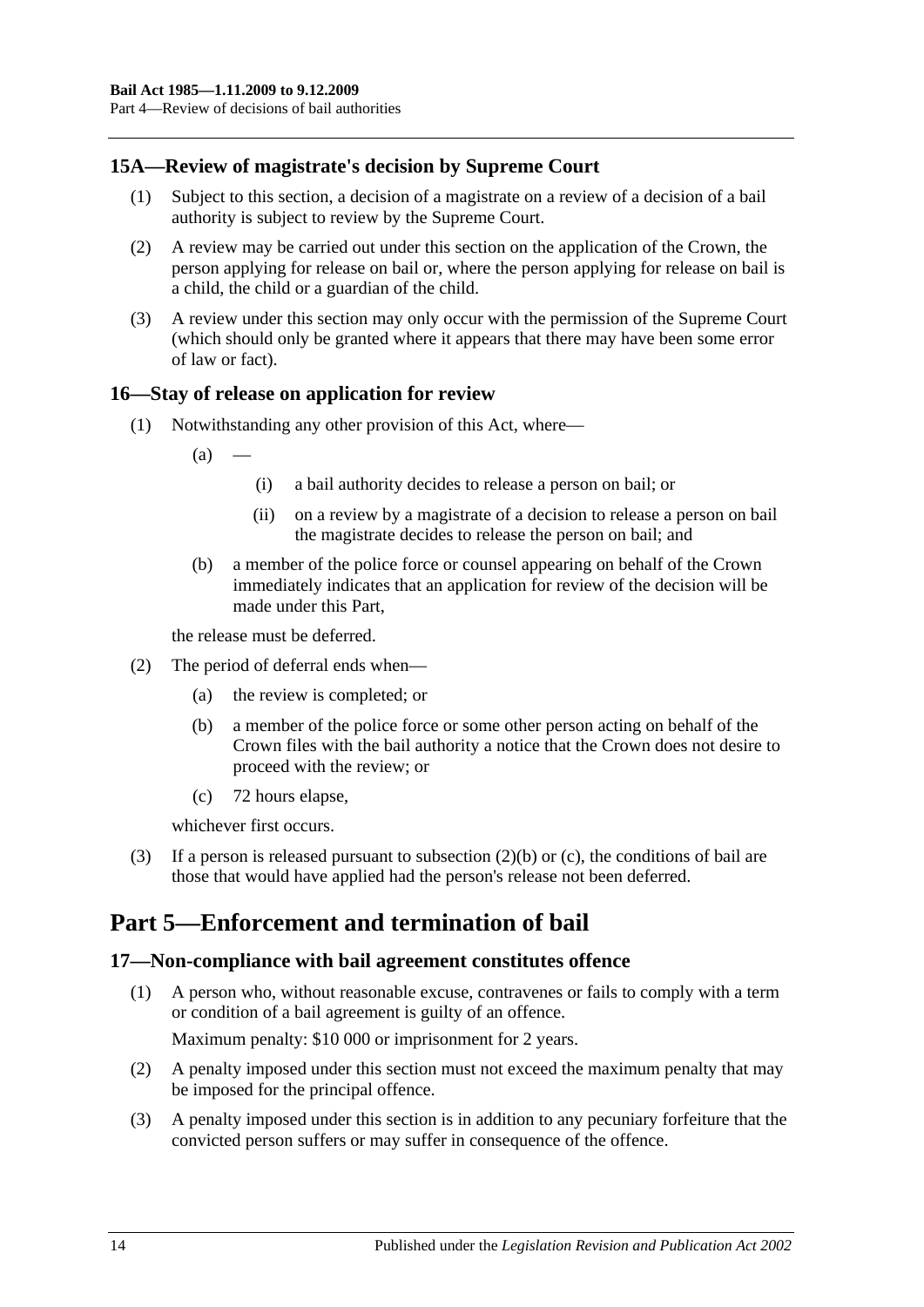## <span id="page-13-0"></span>**15A—Review of magistrate's decision by Supreme Court**

- (1) Subject to this section, a decision of a magistrate on a review of a decision of a bail authority is subject to review by the Supreme Court.
- (2) A review may be carried out under this section on the application of the Crown, the person applying for release on bail or, where the person applying for release on bail is a child, the child or a guardian of the child.
- (3) A review under this section may only occur with the permission of the Supreme Court (which should only be granted where it appears that there may have been some error of law or fact).

## <span id="page-13-1"></span>**16—Stay of release on application for review**

- (1) Notwithstanding any other provision of this Act, where—
	- $(a)$
- (i) a bail authority decides to release a person on bail; or
- (ii) on a review by a magistrate of a decision to release a person on bail the magistrate decides to release the person on bail; and
- (b) a member of the police force or counsel appearing on behalf of the Crown immediately indicates that an application for review of the decision will be made under this Part,

the release must be deferred.

- <span id="page-13-4"></span>(2) The period of deferral ends when—
	- (a) the review is completed; or
	- (b) a member of the police force or some other person acting on behalf of the Crown files with the bail authority a notice that the Crown does not desire to proceed with the review; or
	- (c) 72 hours elapse,

whichever first occurs.

<span id="page-13-5"></span>(3) If a person is released pursuant to [subsection](#page-13-4) (2)(b) or [\(c\),](#page-13-5) the conditions of bail are those that would have applied had the person's release not been deferred.

## <span id="page-13-2"></span>**Part 5—Enforcement and termination of bail**

#### <span id="page-13-3"></span>**17—Non-compliance with bail agreement constitutes offence**

- (1) A person who, without reasonable excuse, contravenes or fails to comply with a term or condition of a bail agreement is guilty of an offence. Maximum penalty: \$10 000 or imprisonment for 2 years.
- (2) A penalty imposed under this section must not exceed the maximum penalty that may be imposed for the principal offence.
- (3) A penalty imposed under this section is in addition to any pecuniary forfeiture that the convicted person suffers or may suffer in consequence of the offence.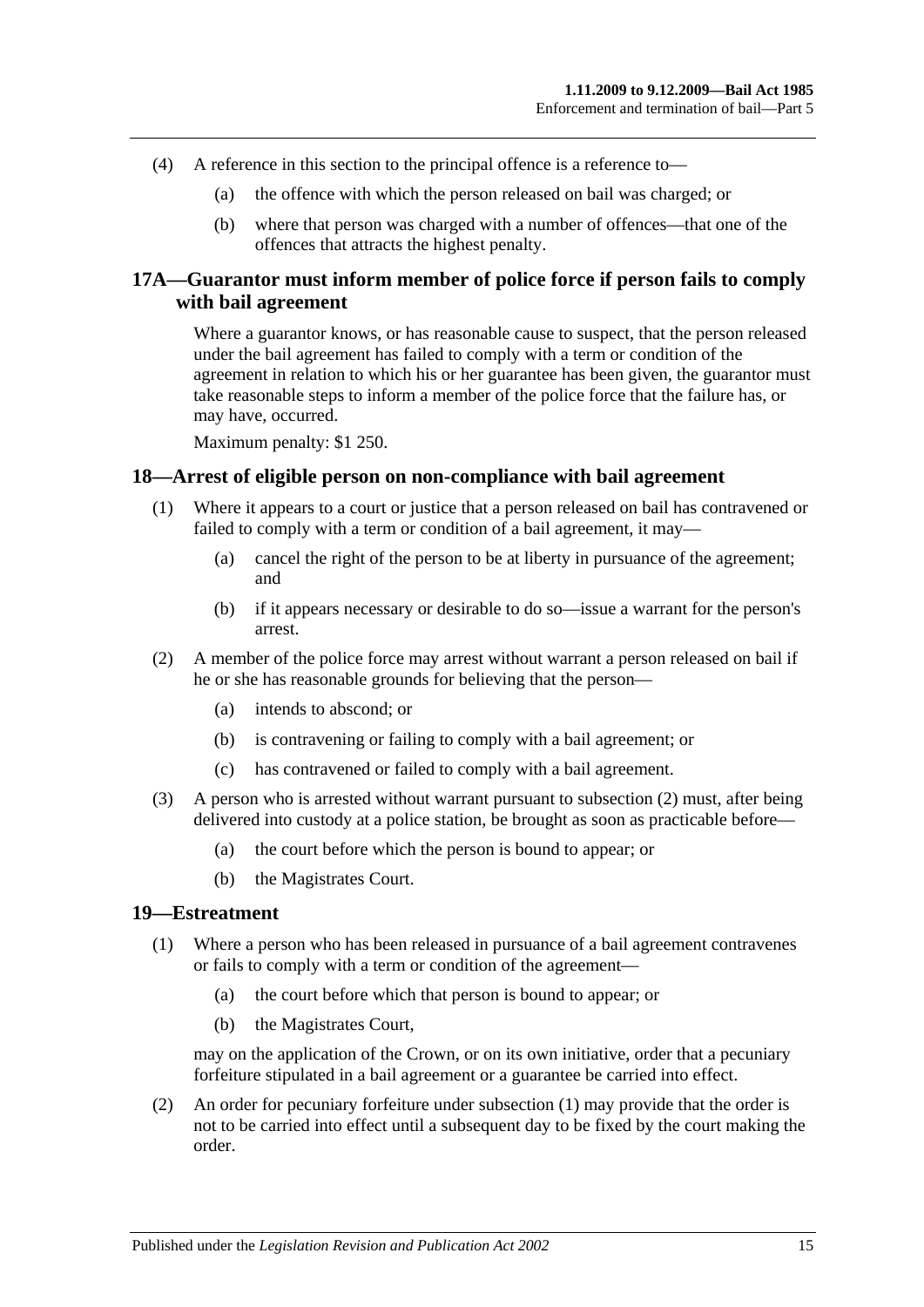- (4) A reference in this section to the principal offence is a reference to—
	- (a) the offence with which the person released on bail was charged; or
	- (b) where that person was charged with a number of offences—that one of the offences that attracts the highest penalty.

## <span id="page-14-0"></span>**17A—Guarantor must inform member of police force if person fails to comply with bail agreement**

Where a guarantor knows, or has reasonable cause to suspect, that the person released under the bail agreement has failed to comply with a term or condition of the agreement in relation to which his or her guarantee has been given, the guarantor must take reasonable steps to inform a member of the police force that the failure has, or may have, occurred.

Maximum penalty: \$1 250.

#### <span id="page-14-1"></span>**18—Arrest of eligible person on non-compliance with bail agreement**

- (1) Where it appears to a court or justice that a person released on bail has contravened or failed to comply with a term or condition of a bail agreement, it may—
	- (a) cancel the right of the person to be at liberty in pursuance of the agreement; and
	- (b) if it appears necessary or desirable to do so—issue a warrant for the person's arrest.
- <span id="page-14-3"></span>(2) A member of the police force may arrest without warrant a person released on bail if he or she has reasonable grounds for believing that the person—
	- (a) intends to abscond; or
	- (b) is contravening or failing to comply with a bail agreement; or
	- (c) has contravened or failed to comply with a bail agreement.
- (3) A person who is arrested without warrant pursuant to [subsection](#page-14-3) (2) must, after being delivered into custody at a police station, be brought as soon as practicable before—
	- (a) the court before which the person is bound to appear; or
	- (b) the Magistrates Court.

#### <span id="page-14-4"></span><span id="page-14-2"></span>**19—Estreatment**

- (1) Where a person who has been released in pursuance of a bail agreement contravenes or fails to comply with a term or condition of the agreement—
	- (a) the court before which that person is bound to appear; or
	- (b) the Magistrates Court,

may on the application of the Crown, or on its own initiative, order that a pecuniary forfeiture stipulated in a bail agreement or a guarantee be carried into effect.

(2) An order for pecuniary forfeiture under [subsection](#page-14-4) (1) may provide that the order is not to be carried into effect until a subsequent day to be fixed by the court making the order.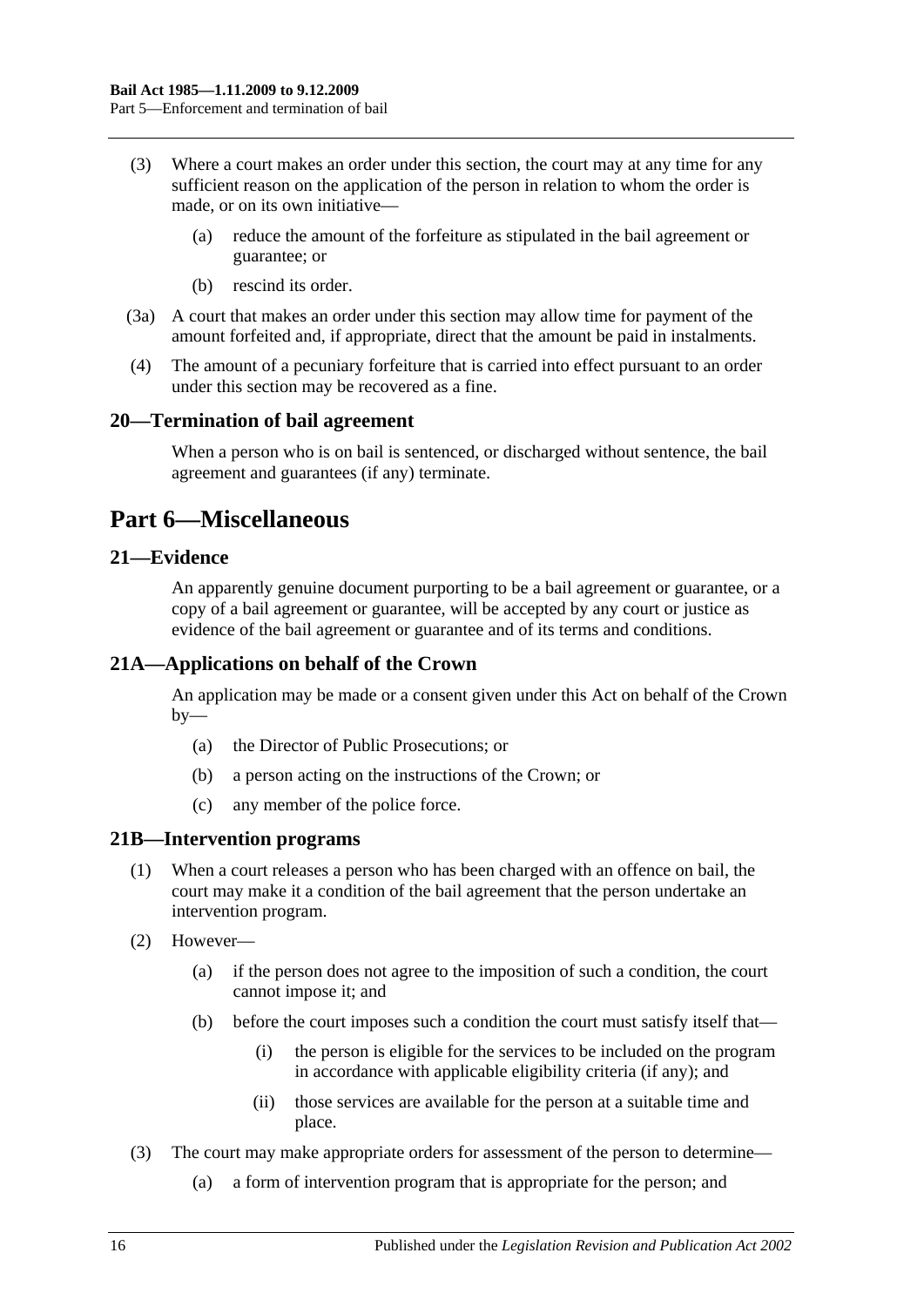- (3) Where a court makes an order under this section, the court may at any time for any sufficient reason on the application of the person in relation to whom the order is made, or on its own initiative—
	- (a) reduce the amount of the forfeiture as stipulated in the bail agreement or guarantee; or
	- (b) rescind its order.
- (3a) A court that makes an order under this section may allow time for payment of the amount forfeited and, if appropriate, direct that the amount be paid in instalments.
- (4) The amount of a pecuniary forfeiture that is carried into effect pursuant to an order under this section may be recovered as a fine.

### <span id="page-15-0"></span>**20—Termination of bail agreement**

When a person who is on bail is sentenced, or discharged without sentence, the bail agreement and guarantees (if any) terminate.

## <span id="page-15-1"></span>**Part 6—Miscellaneous**

## <span id="page-15-2"></span>**21—Evidence**

An apparently genuine document purporting to be a bail agreement or guarantee, or a copy of a bail agreement or guarantee, will be accepted by any court or justice as evidence of the bail agreement or guarantee and of its terms and conditions.

## <span id="page-15-3"></span>**21A—Applications on behalf of the Crown**

An application may be made or a consent given under this Act on behalf of the Crown  $by-$ 

- (a) the Director of Public Prosecutions; or
- (b) a person acting on the instructions of the Crown; or
- (c) any member of the police force.

#### <span id="page-15-4"></span>**21B—Intervention programs**

- (1) When a court releases a person who has been charged with an offence on bail, the court may make it a condition of the bail agreement that the person undertake an intervention program.
- (2) However—
	- (a) if the person does not agree to the imposition of such a condition, the court cannot impose it; and
	- (b) before the court imposes such a condition the court must satisfy itself that—
		- (i) the person is eligible for the services to be included on the program in accordance with applicable eligibility criteria (if any); and
		- (ii) those services are available for the person at a suitable time and place.
- (3) The court may make appropriate orders for assessment of the person to determine—
	- (a) a form of intervention program that is appropriate for the person; and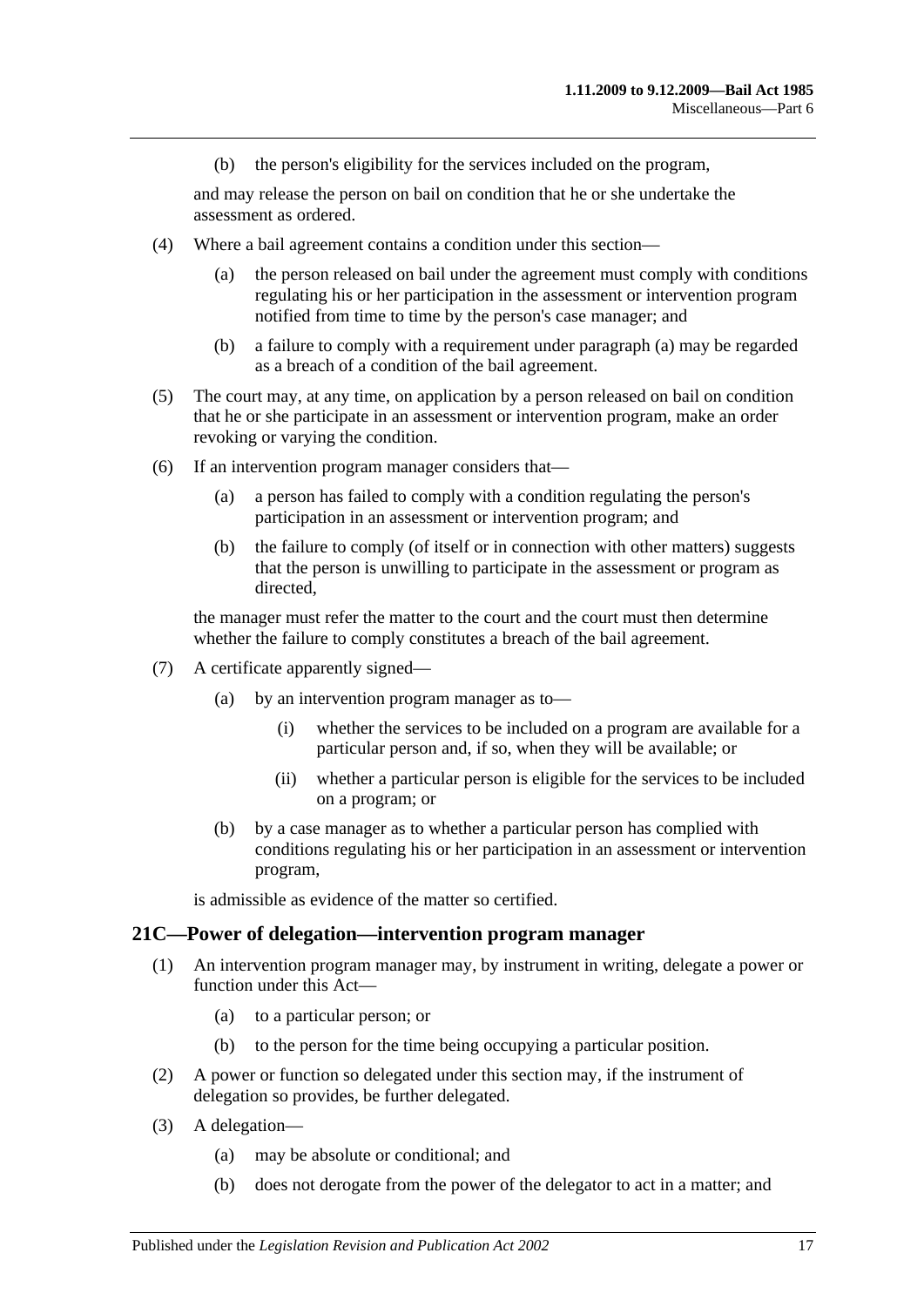(b) the person's eligibility for the services included on the program,

and may release the person on bail on condition that he or she undertake the assessment as ordered.

- <span id="page-16-1"></span>(4) Where a bail agreement contains a condition under this section—
	- (a) the person released on bail under the agreement must comply with conditions regulating his or her participation in the assessment or intervention program notified from time to time by the person's case manager; and
	- (b) a failure to comply with a requirement under [paragraph](#page-16-1) (a) may be regarded as a breach of a condition of the bail agreement.
- (5) The court may, at any time, on application by a person released on bail on condition that he or she participate in an assessment or intervention program, make an order revoking or varying the condition.
- (6) If an intervention program manager considers that—
	- (a) a person has failed to comply with a condition regulating the person's participation in an assessment or intervention program; and
	- (b) the failure to comply (of itself or in connection with other matters) suggests that the person is unwilling to participate in the assessment or program as directed,

the manager must refer the matter to the court and the court must then determine whether the failure to comply constitutes a breach of the bail agreement.

- (7) A certificate apparently signed—
	- (a) by an intervention program manager as to—
		- (i) whether the services to be included on a program are available for a particular person and, if so, when they will be available; or
		- (ii) whether a particular person is eligible for the services to be included on a program; or
	- (b) by a case manager as to whether a particular person has complied with conditions regulating his or her participation in an assessment or intervention program,

is admissible as evidence of the matter so certified.

#### <span id="page-16-0"></span>**21C—Power of delegation—intervention program manager**

- (1) An intervention program manager may, by instrument in writing, delegate a power or function under this Act—
	- (a) to a particular person; or
	- (b) to the person for the time being occupying a particular position.
- (2) A power or function so delegated under this section may, if the instrument of delegation so provides, be further delegated.
- (3) A delegation—
	- (a) may be absolute or conditional; and
	- (b) does not derogate from the power of the delegator to act in a matter; and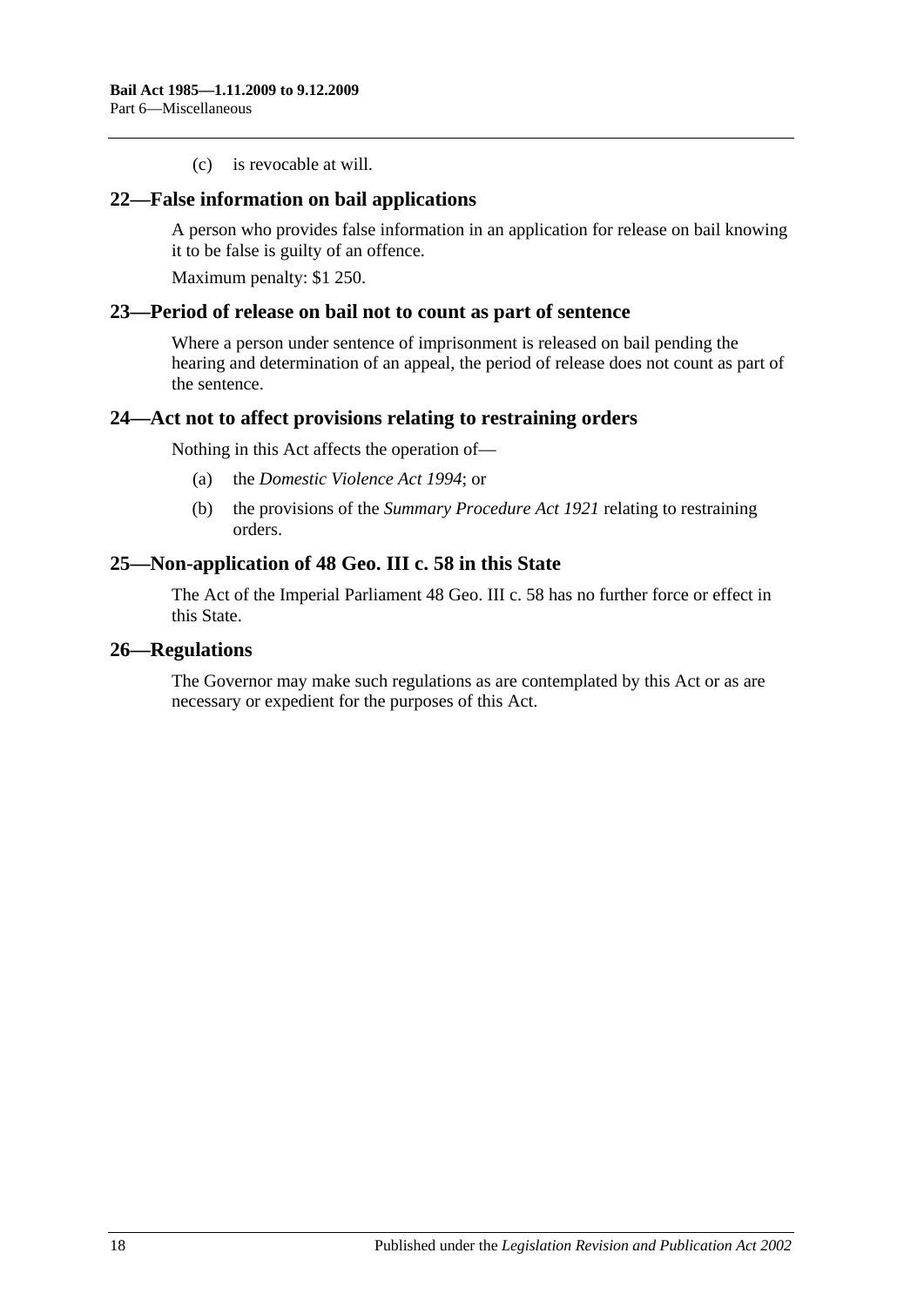(c) is revocable at will.

### <span id="page-17-0"></span>**22—False information on bail applications**

A person who provides false information in an application for release on bail knowing it to be false is guilty of an offence.

Maximum penalty: \$1 250.

#### <span id="page-17-1"></span>**23—Period of release on bail not to count as part of sentence**

Where a person under sentence of imprisonment is released on bail pending the hearing and determination of an appeal, the period of release does not count as part of the sentence.

### <span id="page-17-2"></span>**24—Act not to affect provisions relating to restraining orders**

Nothing in this Act affects the operation of—

- (a) the *[Domestic Violence Act](http://www.legislation.sa.gov.au/index.aspx?action=legref&type=act&legtitle=Domestic%20Violence%20Act%201994) 1994*; or
- (b) the provisions of the *[Summary Procedure Act](http://www.legislation.sa.gov.au/index.aspx?action=legref&type=act&legtitle=Summary%20Procedure%20Act%201921) 1921* relating to restraining orders.

### <span id="page-17-3"></span>**25—Non-application of 48 Geo. III c. 58 in this State**

The Act of the Imperial Parliament 48 Geo. III c. 58 has no further force or effect in this State.

#### <span id="page-17-4"></span>**26—Regulations**

The Governor may make such regulations as are contemplated by this Act or as are necessary or expedient for the purposes of this Act.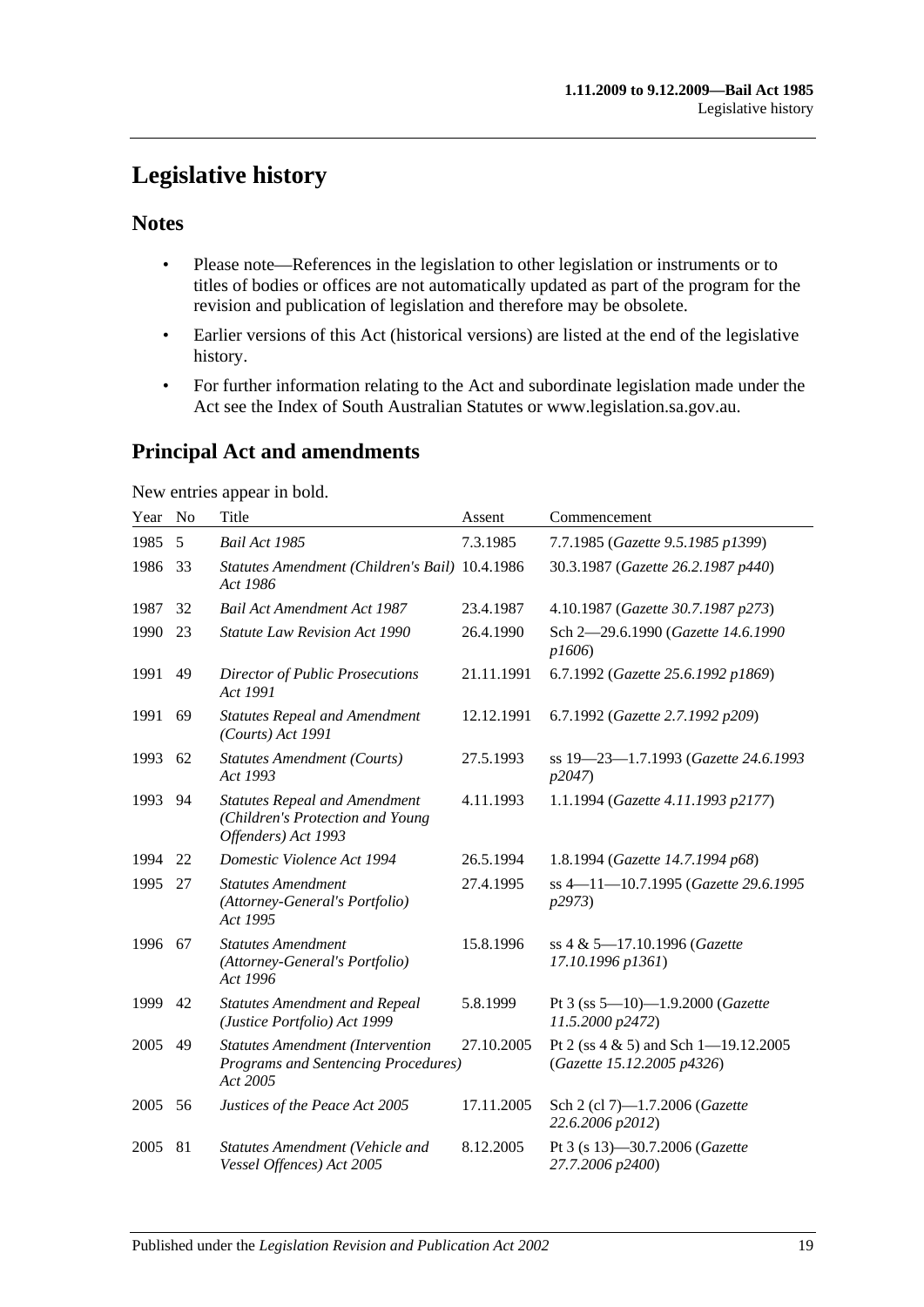## <span id="page-18-0"></span>**Legislative history**

## **Notes**

- Please note—References in the legislation to other legislation or instruments or to titles of bodies or offices are not automatically updated as part of the program for the revision and publication of legislation and therefore may be obsolete.
- Earlier versions of this Act (historical versions) are listed at the end of the legislative history.
- For further information relating to the Act and subordinate legislation made under the Act see the Index of South Australian Statutes or www.legislation.sa.gov.au.

## **Principal Act and amendments**

New entries appear in bold.

| Year | No | Title                                                                                             | Assent     | Commencement                                                           |
|------|----|---------------------------------------------------------------------------------------------------|------------|------------------------------------------------------------------------|
| 1985 | 5  | <b>Bail Act 1985</b>                                                                              | 7.3.1985   | 7.7.1985 (Gazette 9.5.1985 p1399)                                      |
| 1986 | 33 | Statutes Amendment (Children's Bail) 10.4.1986<br>Act 1986                                        |            | 30.3.1987 (Gazette 26.2.1987 p440)                                     |
| 1987 | 32 | <b>Bail Act Amendment Act 1987</b>                                                                | 23.4.1987  | 4.10.1987 (Gazette 30.7.1987 p273)                                     |
| 1990 | 23 | <b>Statute Law Revision Act 1990</b>                                                              | 26.4.1990  | Sch 2-29.6.1990 (Gazette 14.6.1990<br>p1606)                           |
| 1991 | 49 | Director of Public Prosecutions<br>Act 1991                                                       | 21.11.1991 | 6.7.1992 (Gazette 25.6.1992 p1869)                                     |
| 1991 | 69 | <b>Statutes Repeal and Amendment</b><br>(Courts) Act 1991                                         | 12.12.1991 | 6.7.1992 (Gazette 2.7.1992 p209)                                       |
| 1993 | 62 | <b>Statutes Amendment (Courts)</b><br>Act 1993                                                    | 27.5.1993  | ss 19-23-1.7.1993 (Gazette 24.6.1993<br>p2047)                         |
| 1993 | 94 | <b>Statutes Repeal and Amendment</b><br>(Children's Protection and Young<br>Offenders) Act 1993   | 4.11.1993  | 1.1.1994 (Gazette 4.11.1993 p2177)                                     |
| 1994 | 22 | Domestic Violence Act 1994                                                                        | 26.5.1994  | 1.8.1994 (Gazette 14.7.1994 p68)                                       |
| 1995 | 27 | <b>Statutes Amendment</b><br>(Attorney-General's Portfolio)<br>Act 1995                           | 27.4.1995  | ss 4-11-10.7.1995 (Gazette 29.6.1995<br>p2973                          |
| 1996 | 67 | <b>Statutes Amendment</b><br>(Attorney-General's Portfolio)<br>Act 1996                           | 15.8.1996  | ss 4 & 5-17.10.1996 (Gazette<br>17.10.1996 p1361)                      |
| 1999 | 42 | <b>Statutes Amendment and Repeal</b><br>(Justice Portfolio) Act 1999                              | 5.8.1999   | Pt 3 (ss $5-10$ )-1.9.2000 (Gazette<br>11.5.2000 p2472)                |
| 2005 | 49 | <b>Statutes Amendment (Intervention</b><br><b>Programs and Sentencing Procedures)</b><br>Act 2005 | 27.10.2005 | Pt 2 (ss $4 \& 5$ ) and Sch 1-19.12.2005<br>(Gazette 15.12.2005 p4326) |
| 2005 | 56 | Justices of the Peace Act 2005                                                                    | 17.11.2005 | Sch 2 (cl 7)-1.7.2006 (Gazette<br>22.6.2006 p2012)                     |
| 2005 | 81 | Statutes Amendment (Vehicle and<br>Vessel Offences) Act 2005                                      | 8.12.2005  | Pt 3 (s 13)-30.7.2006 (Gazette<br>27.7.2006 p2400)                     |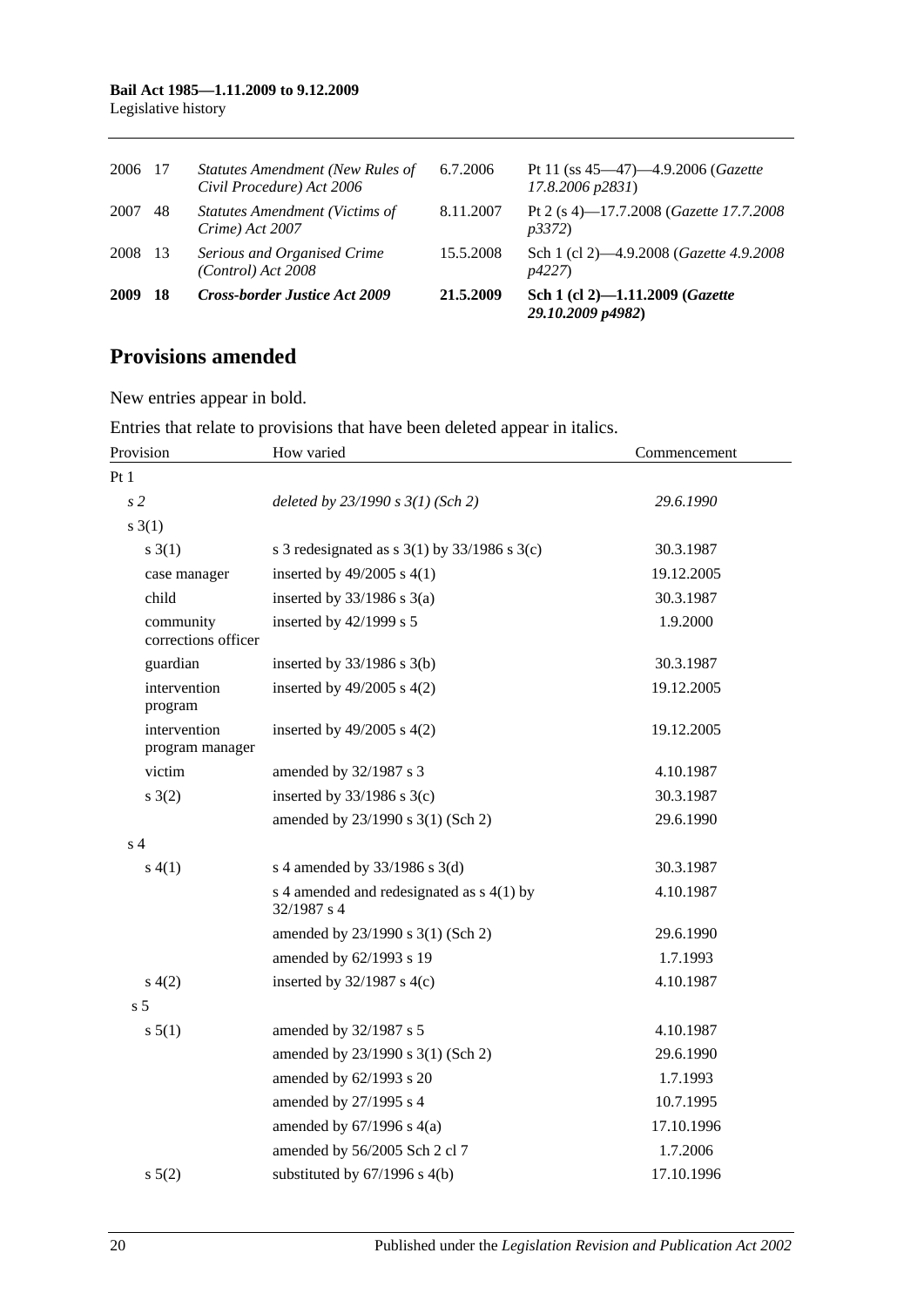#### **Bail Act 1985—1.11.2009 to 9.12.2009** Legislative history

| 2009    | -18 | <b>Cross-border Justice Act 2009</b>                                 | 21.5.2009 | Sch 1 (cl 2)-1.11.2009 (Gazette<br>29.10.2009 p4982)                      |
|---------|-----|----------------------------------------------------------------------|-----------|---------------------------------------------------------------------------|
| 2008 13 |     | Serious and Organised Crime<br>$(Control)$ Act 2008                  | 15.5.2008 | Sch 1 (cl 2)-4.9.2008 (Gazette 4.9.2008)<br>p4227                         |
| 2007    | 48  | <b>Statutes Amendment (Victims of</b><br>Crime) Act 2007             | 8.11.2007 | Pt 2 (s 4)-17.7.2008 ( <i>Gazette 17.7.2008</i><br><i>p3372</i> )         |
| 2006 17 |     | <b>Statutes Amendment (New Rules of</b><br>Civil Procedure) Act 2006 | 6.7.2006  | Pt 11 (ss $45-47$ ) $-4.9.2006$ ( <i>Gazette</i><br>$17.8.2006$ $p2831$ ) |

## **Provisions amended**

New entries appear in bold.

Entries that relate to provisions that have been deleted appear in italics.

| Provision                        | How varied                                                 | Commencement |
|----------------------------------|------------------------------------------------------------|--------------|
| Pt1                              |                                                            |              |
| s <sub>2</sub>                   | deleted by $23/1990 s 3(1)$ (Sch 2)                        | 29.6.1990    |
| s(3(1))                          |                                                            |              |
| s(3(1))                          | s 3 redesignated as s $3(1)$ by $33/1986$ s $3(c)$         | 30.3.1987    |
| case manager                     | inserted by $49/2005$ s $4(1)$                             | 19.12.2005   |
| child                            | inserted by $33/1986$ s $3(a)$                             | 30.3.1987    |
| community<br>corrections officer | inserted by $42/1999$ s 5                                  | 1.9.2000     |
| guardian                         | inserted by $33/1986$ s $3(b)$                             | 30.3.1987    |
| intervention<br>program          | inserted by $49/2005$ s $4(2)$                             | 19.12.2005   |
| intervention<br>program manager  | inserted by $49/2005$ s $4(2)$                             | 19.12.2005   |
| victim                           | amended by 32/1987 s 3                                     | 4.10.1987    |
| s(2)                             | inserted by $33/1986$ s $3(c)$                             | 30.3.1987    |
|                                  | amended by 23/1990 s 3(1) (Sch 2)                          | 29.6.1990    |
| s <sub>4</sub>                   |                                                            |              |
| s(4(1))                          | s 4 amended by 33/1986 s 3(d)                              | 30.3.1987    |
|                                  | s 4 amended and redesignated as $s$ 4(1) by<br>32/1987 s 4 | 4.10.1987    |
|                                  | amended by 23/1990 s 3(1) (Sch 2)                          | 29.6.1990    |
|                                  | amended by 62/1993 s 19                                    | 1.7.1993     |
| s(4(2)                           | inserted by $32/1987$ s 4(c)                               | 4.10.1987    |
| s <sub>5</sub>                   |                                                            |              |
| s 5(1)                           | amended by 32/1987 s 5                                     | 4.10.1987    |
|                                  | amended by 23/1990 s 3(1) (Sch 2)                          | 29.6.1990    |
|                                  | amended by 62/1993 s 20                                    | 1.7.1993     |
|                                  | amended by 27/1995 s 4                                     | 10.7.1995    |
|                                  | amended by $67/1996$ s $4(a)$                              | 17.10.1996   |
|                                  | amended by 56/2005 Sch 2 cl 7                              | 1.7.2006     |
| $s \ 5(2)$                       | substituted by $67/1996$ s $4(b)$                          | 17.10.1996   |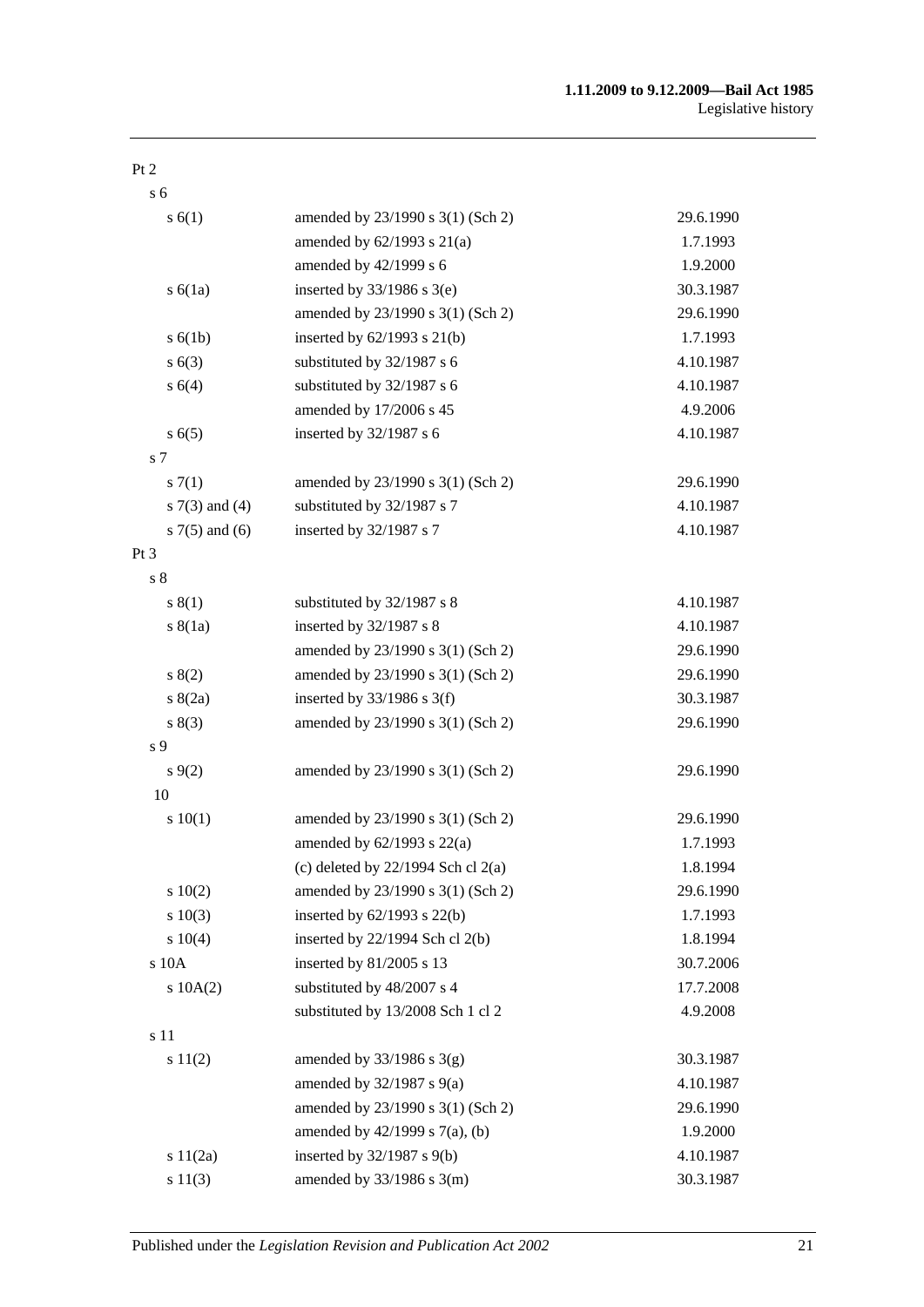#### Pt 2

s 6

| s(6(1))            | amended by 23/1990 s 3(1) (Sch 2)      | 29.6.1990 |
|--------------------|----------------------------------------|-----------|
|                    | amended by $62/1993$ s $21(a)$         | 1.7.1993  |
|                    | amended by 42/1999 s 6                 | 1.9.2000  |
| $s\ 6(1a)$         | inserted by $33/1986$ s $3(e)$         | 30.3.1987 |
|                    | amended by 23/1990 s 3(1) (Sch 2)      | 29.6.1990 |
| s(6(1b))           | inserted by $62/1993$ s $21(b)$        | 1.7.1993  |
| s(6(3))            | substituted by 32/1987 s 6             | 4.10.1987 |
| s 6(4)             | substituted by 32/1987 s 6             | 4.10.1987 |
|                    | amended by 17/2006 s 45                | 4.9.2006  |
| s(6(5)             | inserted by 32/1987 s 6                | 4.10.1987 |
| s 7                |                                        |           |
| s(7(1))            | amended by 23/1990 s 3(1) (Sch 2)      | 29.6.1990 |
| s $7(3)$ and $(4)$ | substituted by 32/1987 s 7             | 4.10.1987 |
| s $7(5)$ and $(6)$ | inserted by 32/1987 s 7                | 4.10.1987 |
| $Pt\,3$            |                                        |           |
| s <sub>8</sub>     |                                        |           |
| s(1)               | substituted by 32/1987 s 8             | 4.10.1987 |
| s(8(1a))           | inserted by 32/1987 s 8                | 4.10.1987 |
|                    | amended by 23/1990 s 3(1) (Sch 2)      | 29.6.1990 |
| s(2)               | amended by 23/1990 s 3(1) (Sch 2)      | 29.6.1990 |
| s(2a)              | inserted by $33/1986$ s 3(f)           | 30.3.1987 |
| s(3)               | amended by 23/1990 s 3(1) (Sch 2)      | 29.6.1990 |
| s 9                |                                        |           |
| $s \, 9(2)$        | amended by 23/1990 s 3(1) (Sch 2)      | 29.6.1990 |
| 10                 |                                        |           |
| 10(1)              | amended by 23/1990 s 3(1) (Sch 2)      | 29.6.1990 |
|                    | amended by $62/1993$ s $22(a)$         | 1.7.1993  |
|                    | (c) deleted by $22/1994$ Sch cl $2(a)$ | 1.8.1994  |
| 10(2)              | amended by 23/1990 s 3(1) (Sch 2)      | 29.6.1990 |
| 10(3)              | inserted by $62/1993$ s $22(b)$        | 1.7.1993  |
| s 10(4)            | inserted by 22/1994 Sch cl 2(b)        | 1.8.1994  |
| s 10A              | inserted by 81/2005 s 13               | 30.7.2006 |
| $s$ 10A $(2)$      | substituted by 48/2007 s 4             | 17.7.2008 |
|                    | substituted by 13/2008 Sch 1 cl 2      | 4.9.2008  |
| s 11               |                                        |           |
| s 11(2)            | amended by $33/1986$ s $3(g)$          | 30.3.1987 |
|                    | amended by $32/1987$ s $9(a)$          | 4.10.1987 |
|                    | amended by 23/1990 s 3(1) (Sch 2)      | 29.6.1990 |
|                    | amended by 42/1999 s 7(a), (b)         | 1.9.2000  |
| s $11(2a)$         | inserted by 32/1987 s 9(b)             | 4.10.1987 |
| s 11(3)            | amended by 33/1986 s 3(m)              | 30.3.1987 |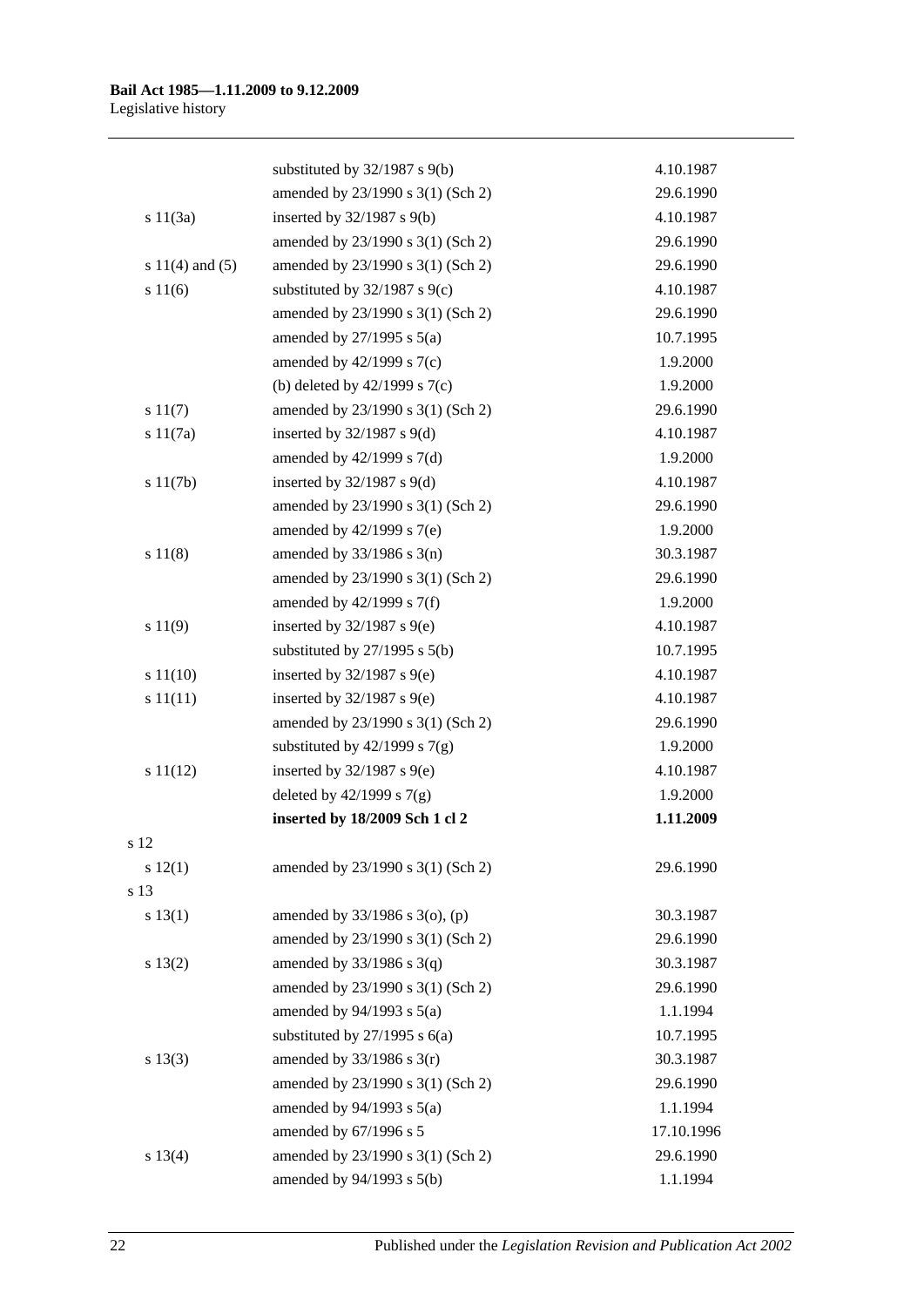|                     | substituted by 32/1987 s 9(b)     | 4.10.1987  |
|---------------------|-----------------------------------|------------|
|                     | amended by 23/1990 s 3(1) (Sch 2) | 29.6.1990  |
| s 11(3a)            | inserted by $32/1987$ s $9(b)$    | 4.10.1987  |
|                     | amended by 23/1990 s 3(1) (Sch 2) | 29.6.1990  |
| s $11(4)$ and $(5)$ | amended by 23/1990 s 3(1) (Sch 2) | 29.6.1990  |
| s 11(6)             | substituted by $32/1987$ s $9(c)$ | 4.10.1987  |
|                     | amended by 23/1990 s 3(1) (Sch 2) | 29.6.1990  |
|                     | amended by $27/1995$ s $5(a)$     | 10.7.1995  |
|                     | amended by $42/1999$ s $7(c)$     | 1.9.2000   |
|                     | (b) deleted by $42/1999$ s $7(c)$ | 1.9.2000   |
| s 11(7)             | amended by 23/1990 s 3(1) (Sch 2) | 29.6.1990  |
| s 11(7a)            | inserted by $32/1987$ s $9(d)$    | 4.10.1987  |
|                     | amended by 42/1999 s 7(d)         | 1.9.2000   |
| s 11(7b)            | inserted by $32/1987$ s $9(d)$    | 4.10.1987  |
|                     | amended by 23/1990 s 3(1) (Sch 2) | 29.6.1990  |
|                     | amended by $42/1999$ s $7(e)$     | 1.9.2000   |
| s 11(8)             | amended by $33/1986$ s $3(n)$     | 30.3.1987  |
|                     | amended by 23/1990 s 3(1) (Sch 2) | 29.6.1990  |
|                     | amended by $42/1999$ s $7(f)$     | 1.9.2000   |
| s 11(9)             | inserted by $32/1987$ s $9(e)$    | 4.10.1987  |
|                     | substituted by $27/1995$ s $5(b)$ | 10.7.1995  |
| s 11(10)            | inserted by $32/1987$ s $9(e)$    | 4.10.1987  |
| s 11(11)            | inserted by $32/1987$ s $9(e)$    | 4.10.1987  |
|                     | amended by 23/1990 s 3(1) (Sch 2) | 29.6.1990  |
|                     | substituted by $42/1999$ s $7(g)$ | 1.9.2000   |
| s 11(12)            | inserted by $32/1987$ s $9(e)$    | 4.10.1987  |
|                     | deleted by $42/1999$ s $7(g)$     | 1.9.2000   |
|                     | inserted by 18/2009 Sch 1 cl 2    | 1.11.2009  |
| s 12                |                                   |            |
| s 12(1)             | amended by 23/1990 s 3(1) (Sch 2) | 29.6.1990  |
| s 13                |                                   |            |
| s 13(1)             | amended by 33/1986 s 3(o), (p)    | 30.3.1987  |
|                     | amended by 23/1990 s 3(1) (Sch 2) | 29.6.1990  |
| s 13(2)             | amended by $33/1986$ s $3(q)$     | 30.3.1987  |
|                     | amended by 23/1990 s 3(1) (Sch 2) | 29.6.1990  |
|                     | amended by $94/1993$ s $5(a)$     | 1.1.1994   |
|                     | substituted by $27/1995$ s $6(a)$ | 10.7.1995  |
| s 13(3)             | amended by $33/1986$ s $3(r)$     | 30.3.1987  |
|                     | amended by 23/1990 s 3(1) (Sch 2) | 29.6.1990  |
|                     | amended by $94/1993$ s $5(a)$     | 1.1.1994   |
|                     | amended by 67/1996 s 5            | 17.10.1996 |
| s 13(4)             | amended by 23/1990 s 3(1) (Sch 2) | 29.6.1990  |
|                     | amended by 94/1993 s 5(b)         | 1.1.1994   |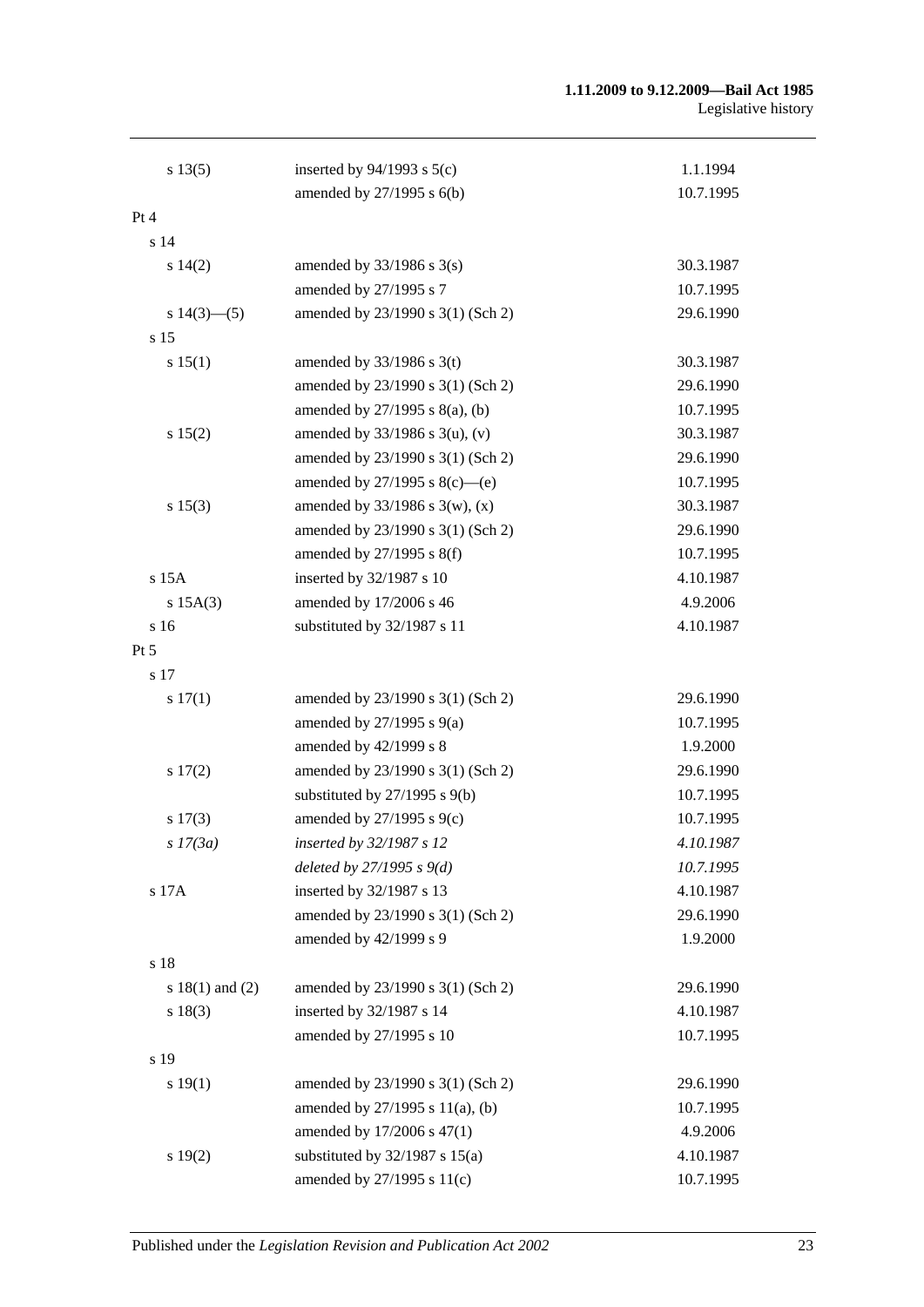#### **1.11.2009 to 9.12.2009—Bail Act 1985** Legislative history

| s 13(5)             | inserted by $94/1993$ s $5(c)$      | 1.1.1994  |
|---------------------|-------------------------------------|-----------|
|                     | amended by 27/1995 s 6(b)           | 10.7.1995 |
| Pt 4                |                                     |           |
| s 14                |                                     |           |
| s 14(2)             | amended by $33/1986$ s $3(s)$       | 30.3.1987 |
|                     | amended by 27/1995 s 7              | 10.7.1995 |
| s $14(3)$ — $(5)$   | amended by 23/1990 s 3(1) (Sch 2)   | 29.6.1990 |
| s 15                |                                     |           |
| s 15(1)             | amended by $33/1986$ s 3(t)         | 30.3.1987 |
|                     | amended by 23/1990 s 3(1) (Sch 2)   | 29.6.1990 |
|                     | amended by $27/1995$ s $8(a)$ , (b) | 10.7.1995 |
| s 15(2)             | amended by $33/1986$ s $3(u)$ , (v) | 30.3.1987 |
|                     | amended by 23/1990 s 3(1) (Sch 2)   | 29.6.1990 |
|                     | amended by $27/1995$ s $8(c)$ —(e)  | 10.7.1995 |
| s 15(3)             | amended by $33/1986$ s 3(w), (x)    | 30.3.1987 |
|                     | amended by 23/1990 s 3(1) (Sch 2)   | 29.6.1990 |
|                     | amended by 27/1995 s 8(f)           | 10.7.1995 |
| s 15A               | inserted by 32/1987 s 10            | 4.10.1987 |
| s 15A(3)            | amended by 17/2006 s 46             | 4.9.2006  |
| s 16                | substituted by 32/1987 s 11         | 4.10.1987 |
| Pt 5                |                                     |           |
| s 17                |                                     |           |
| s 17(1)             | amended by 23/1990 s 3(1) (Sch 2)   | 29.6.1990 |
|                     | amended by $27/1995$ s $9(a)$       | 10.7.1995 |
|                     | amended by 42/1999 s 8              | 1.9.2000  |
| 17(2)               | amended by 23/1990 s 3(1) (Sch 2)   | 29.6.1990 |
|                     | substituted by $27/1995$ s $9(b)$   | 10.7.1995 |
| s 17(3)             | amended by 27/1995 s 9(c)           | 10.7.1995 |
| s 17(3a)            | inserted by 32/1987 s 12            | 4.10.1987 |
|                     | deleted by $27/1995 s 9(d)$         | 10.7.1995 |
| s 17A               | inserted by 32/1987 s 13            | 4.10.1987 |
|                     | amended by 23/1990 s 3(1) (Sch 2)   | 29.6.1990 |
|                     | amended by 42/1999 s 9              | 1.9.2000  |
| s 18                |                                     |           |
| s $18(1)$ and $(2)$ | amended by 23/1990 s 3(1) (Sch 2)   | 29.6.1990 |
| s 18(3)             | inserted by 32/1987 s 14            | 4.10.1987 |
|                     | amended by 27/1995 s 10             | 10.7.1995 |
| s 19                |                                     |           |
| s 19(1)             | amended by 23/1990 s 3(1) (Sch 2)   | 29.6.1990 |
|                     | amended by 27/1995 s 11(a), (b)     | 10.7.1995 |
|                     | amended by 17/2006 s 47(1)          | 4.9.2006  |
| s 19(2)             | substituted by $32/1987$ s $15(a)$  | 4.10.1987 |
|                     | amended by 27/1995 s 11(c)          | 10.7.1995 |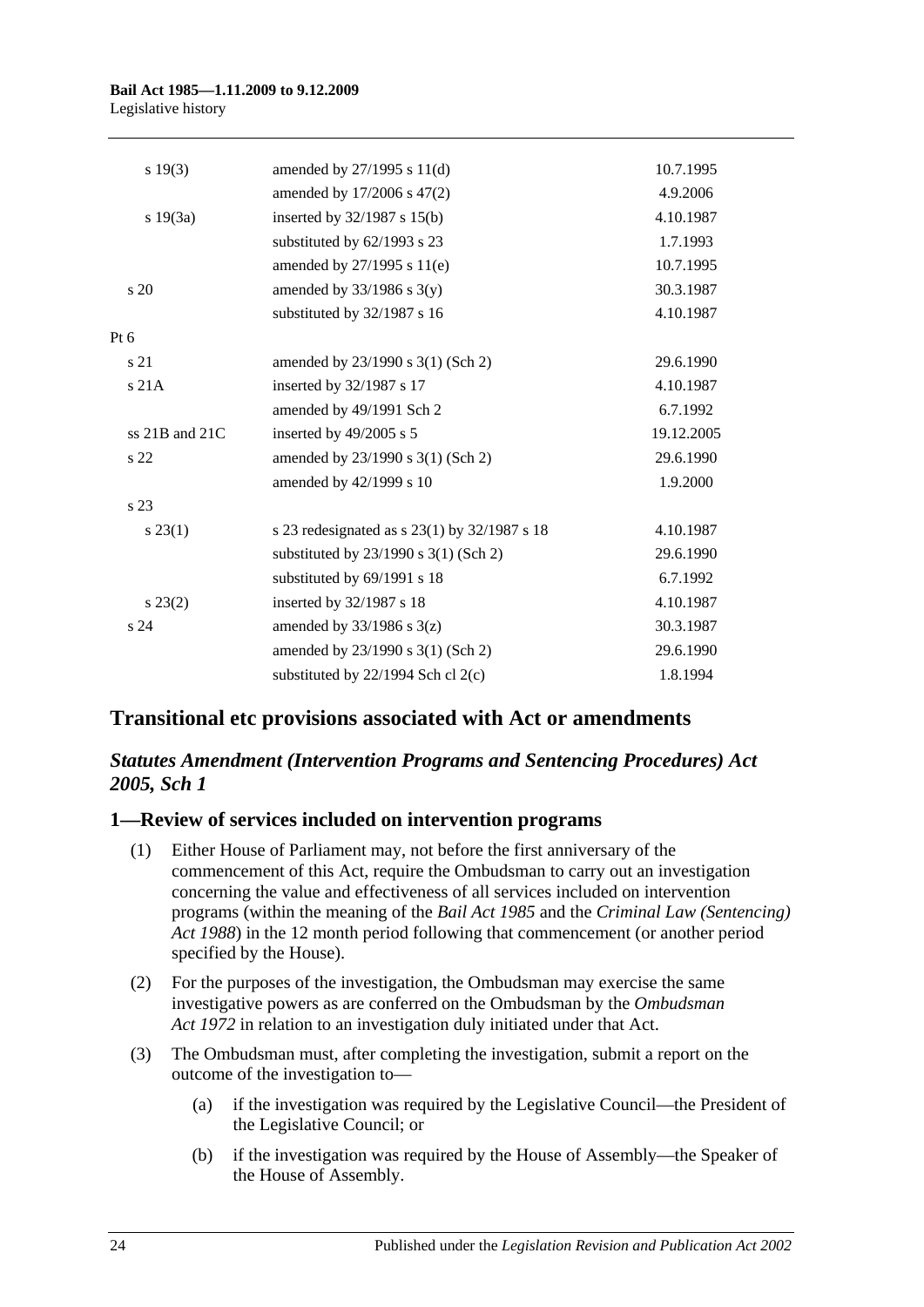#### **Bail Act 1985—1.11.2009 to 9.12.2009** Legislative history

| s 19(3)            | amended by 27/1995 s 11(d)                     | 10.7.1995  |
|--------------------|------------------------------------------------|------------|
|                    | amended by 17/2006 s 47(2)                     | 4.9.2006   |
| s 19(3a)           | inserted by 32/1987 s 15(b)                    | 4.10.1987  |
|                    | substituted by 62/1993 s 23                    | 1.7.1993   |
|                    | amended by 27/1995 s 11(e)                     | 10.7.1995  |
| s 20               | amended by $33/1986$ s $3(y)$                  | 30.3.1987  |
|                    | substituted by 32/1987 s 16                    | 4.10.1987  |
| $Pt\ 6$            |                                                |            |
| s 21               | amended by 23/1990 s 3(1) (Sch 2)              | 29.6.1990  |
| s21A               | inserted by 32/1987 s 17                       | 4.10.1987  |
|                    | amended by 49/1991 Sch 2                       | 6.7.1992   |
| ss $21B$ and $21C$ | inserted by 49/2005 s 5                        | 19.12.2005 |
| s <sub>22</sub>    | amended by 23/1990 s 3(1) (Sch 2)              | 29.6.1990  |
|                    | amended by 42/1999 s 10                        | 1.9.2000   |
| s 23               |                                                |            |
| $s\,23(1)$         | s 23 redesignated as $s$ 23(1) by 32/1987 s 18 | 4.10.1987  |
|                    | substituted by $23/1990$ s $3(1)$ (Sch 2)      | 29.6.1990  |
|                    | substituted by 69/1991 s 18                    | 6.7.1992   |
| $s\,23(2)$         | inserted by 32/1987 s 18                       | 4.10.1987  |
| s <sub>24</sub>    | amended by $33/1986$ s $3(z)$                  | 30.3.1987  |
|                    | amended by 23/1990 s 3(1) (Sch 2)              | 29.6.1990  |
|                    | substituted by $22/1994$ Sch cl $2(c)$         | 1.8.1994   |

## **Transitional etc provisions associated with Act or amendments**

## *Statutes Amendment (Intervention Programs and Sentencing Procedures) Act 2005, Sch 1*

## **1—Review of services included on intervention programs**

- (1) Either House of Parliament may, not before the first anniversary of the commencement of this Act, require the Ombudsman to carry out an investigation concerning the value and effectiveness of all services included on intervention programs (within the meaning of the *[Bail Act](http://www.legislation.sa.gov.au/index.aspx?action=legref&type=act&legtitle=Bail%20Act%201985) 1985* and the *[Criminal Law \(Sentencing\)](http://www.legislation.sa.gov.au/index.aspx?action=legref&type=act&legtitle=Criminal%20Law%20(Sentencing)%20Act%201988)  Act [1988](http://www.legislation.sa.gov.au/index.aspx?action=legref&type=act&legtitle=Criminal%20Law%20(Sentencing)%20Act%201988)*) in the 12 month period following that commencement (or another period specified by the House).
- (2) For the purposes of the investigation, the Ombudsman may exercise the same investigative powers as are conferred on the Ombudsman by the *[Ombudsman](http://www.legislation.sa.gov.au/index.aspx?action=legref&type=act&legtitle=Ombudsman%20Act%201972)  Act [1972](http://www.legislation.sa.gov.au/index.aspx?action=legref&type=act&legtitle=Ombudsman%20Act%201972)* in relation to an investigation duly initiated under that Act.
- (3) The Ombudsman must, after completing the investigation, submit a report on the outcome of the investigation to—
	- (a) if the investigation was required by the Legislative Council—the President of the Legislative Council; or
	- (b) if the investigation was required by the House of Assembly—the Speaker of the House of Assembly.